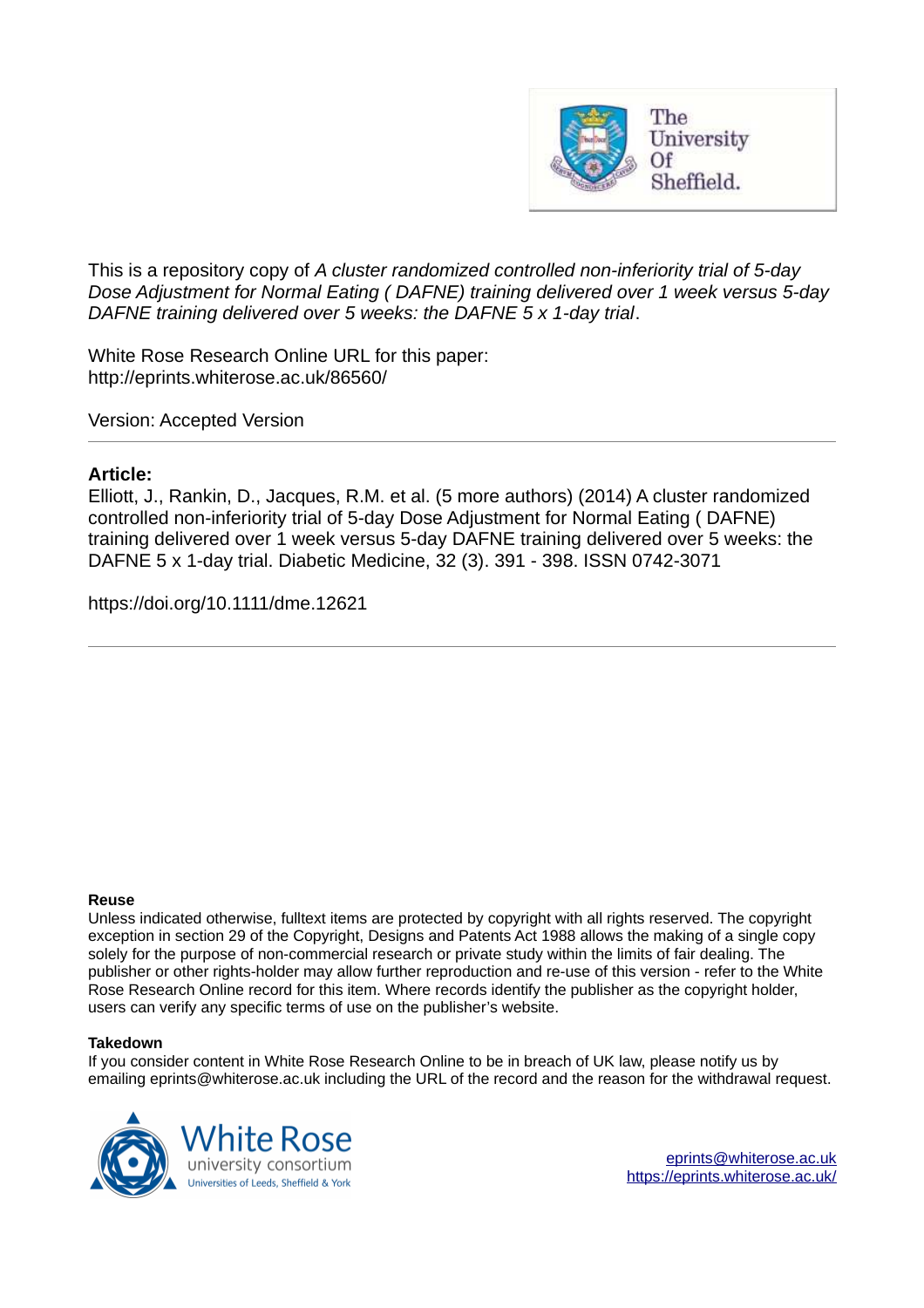

This is a repository copy of *A cluster randomized controlled non-inferiority trial of 5-day Dose Adjustment for Normal Eating ( DAFNE) training delivered over 1 week versus 5-day DAFNE training delivered over 5 weeks: the DAFNE 5 x 1-day trial*.

White Rose Research Online URL for this paper: http://eprints.whiterose.ac.uk/86560/

Version: Accepted Version

#### **Article:**

Elliott, J., Rankin, D., Jacques, R.M. et al. (5 more authors) (2014) A cluster randomized controlled non-inferiority trial of 5-day Dose Adjustment for Normal Eating ( DAFNE) training delivered over 1 week versus 5-day DAFNE training delivered over 5 weeks: the DAFNE 5 x 1-day trial. Diabetic Medicine, 32 (3). 391 - 398. ISSN 0742-3071

https://doi.org/10.1111/dme.12621

#### **Reuse**

Unless indicated otherwise, fulltext items are protected by copyright with all rights reserved. The copyright exception in section 29 of the Copyright, Designs and Patents Act 1988 allows the making of a single copy solely for the purpose of non-commercial research or private study within the limits of fair dealing. The publisher or other rights-holder may allow further reproduction and re-use of this version - refer to the White Rose Research Online record for this item. Where records identify the publisher as the copyright holder, users can verify any specific terms of use on the publisher's website.

#### **Takedown**

If you consider content in White Rose Research Online to be in breach of UK law, please notify us by emailing eprints@whiterose.ac.uk including the URL of the record and the reason for the withdrawal request.

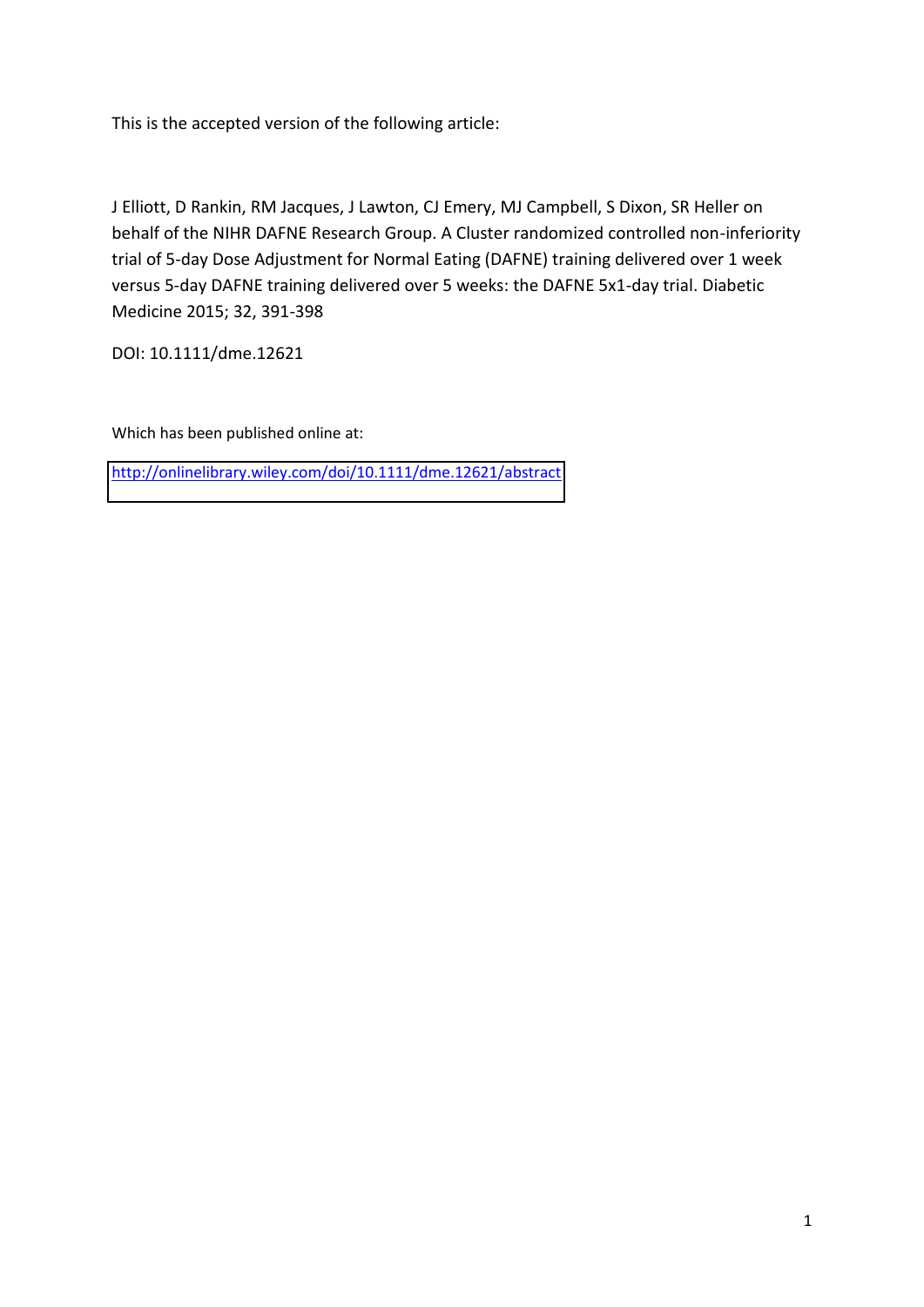This is the accepted version of the following article:

J Elliott, D Rankin, RM Jacques, J Lawton, CJ Emery, MJ Campbell, S Dixon, SR Heller on behalf of the NIHR DAFNE Research Group. A Cluster randomized controlled non-inferiority trial of 5-day Dose Adjustment for Normal Eating (DAFNE) training delivered over 1 week versus 5-day DAFNE training delivered over 5 weeks: the DAFNE 5x1-day trial. Diabetic Medicine 2015; 32, 391-398

DOI: 10.1111/dme.12621

Which has been published online at:

<http://onlinelibrary.wiley.com/doi/10.1111/dme.12621/abstract>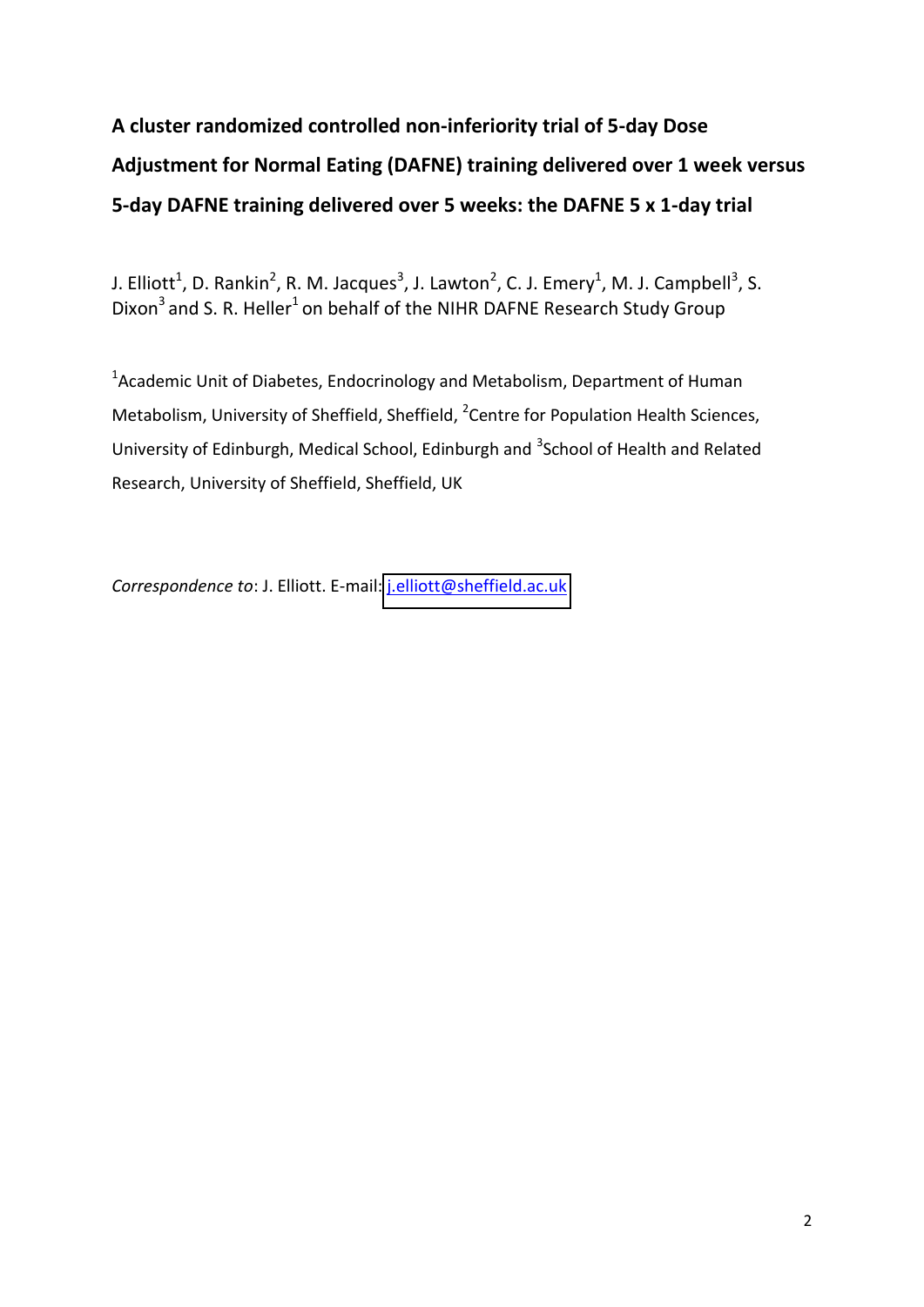# **A cluster randomized controlled non-inferiority trial of 5-day Dose Adjustment for Normal Eating (DAFNE) training delivered over 1 week versus 5-day DAFNE training delivered over 5 weeks: the DAFNE 5 x 1-day trial**

J. Elliott<sup>1</sup>, D. Rankin<sup>2</sup>, R. M. Jacques<sup>3</sup>, J. Lawton<sup>2</sup>, C. J. Emery<sup>1</sup>, M. J. Campbell<sup>3</sup>, S. Dixon<sup>3</sup> and S. R. Heller<sup>1</sup> on behalf of the NIHR DAFNE Research Study Group

<sup>1</sup> Academic Unit of Diabetes, Endocrinology and Metabolism, Department of Human Metabolism, University of Sheffield, Sheffield, <sup>2</sup> Centre for Population Health Sciences, University of Edinburgh, Medical School, Edinburgh and <sup>3</sup>School of Health and Related Research, University of Sheffield, Sheffield, UK

*Correspondence to*: J. Elliott. E-mail: [j.elliott@sheffield.ac.uk](mailto:j.elliott@sheffield.ac.uk)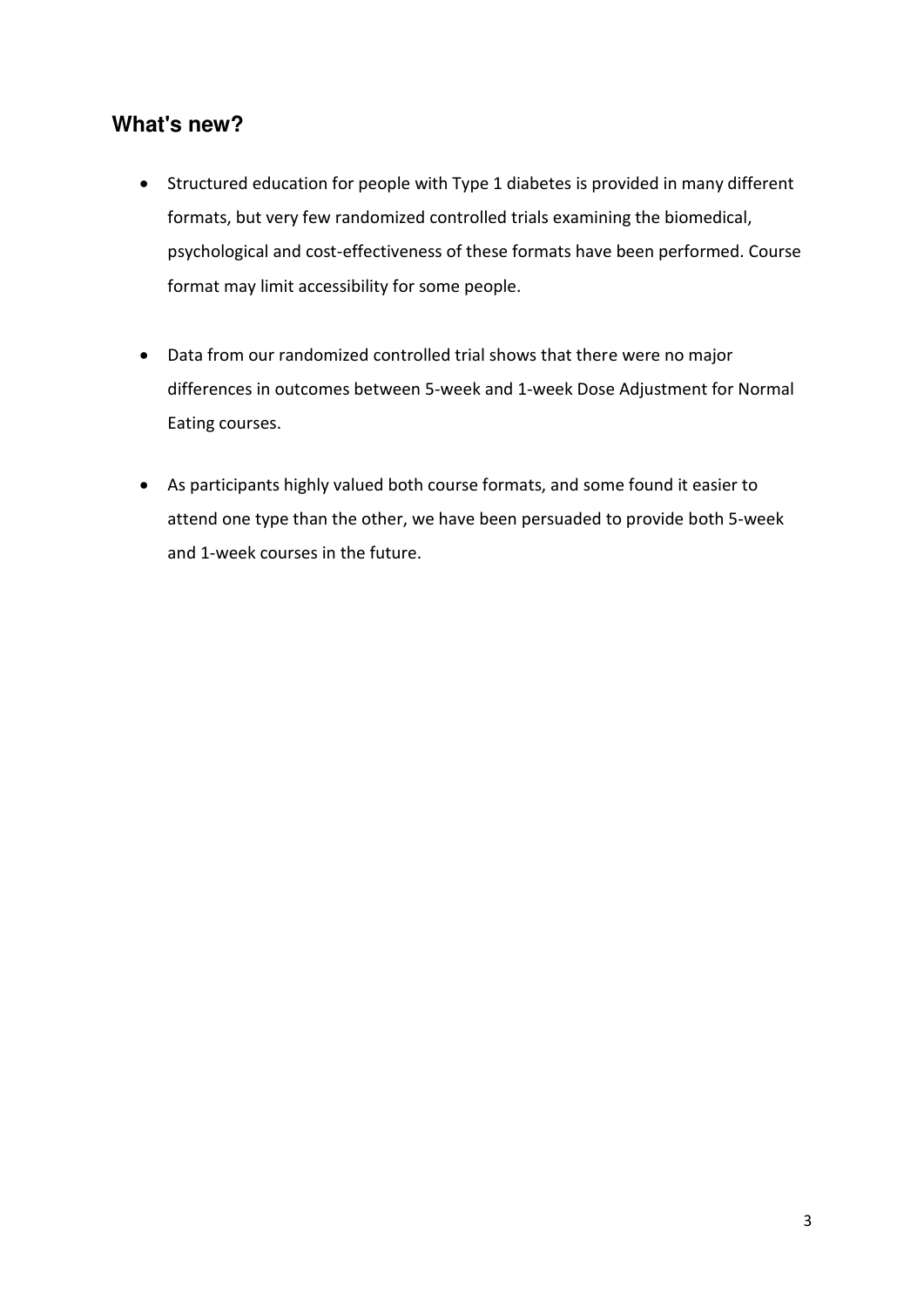# **What's new?**

- Structured education for people with Type 1 diabetes is provided in many different formats, but very few randomized controlled trials examining the biomedical, psychological and cost-effectiveness of these formats have been performed. Course format may limit accessibility for some people.
- Data from our randomized controlled trial shows that there were no major differences in outcomes between 5-week and 1-week Dose Adjustment for Normal Eating courses.
- As participants highly valued both course formats, and some found it easier to attend one type than the other, we have been persuaded to provide both 5-week and 1-week courses in the future.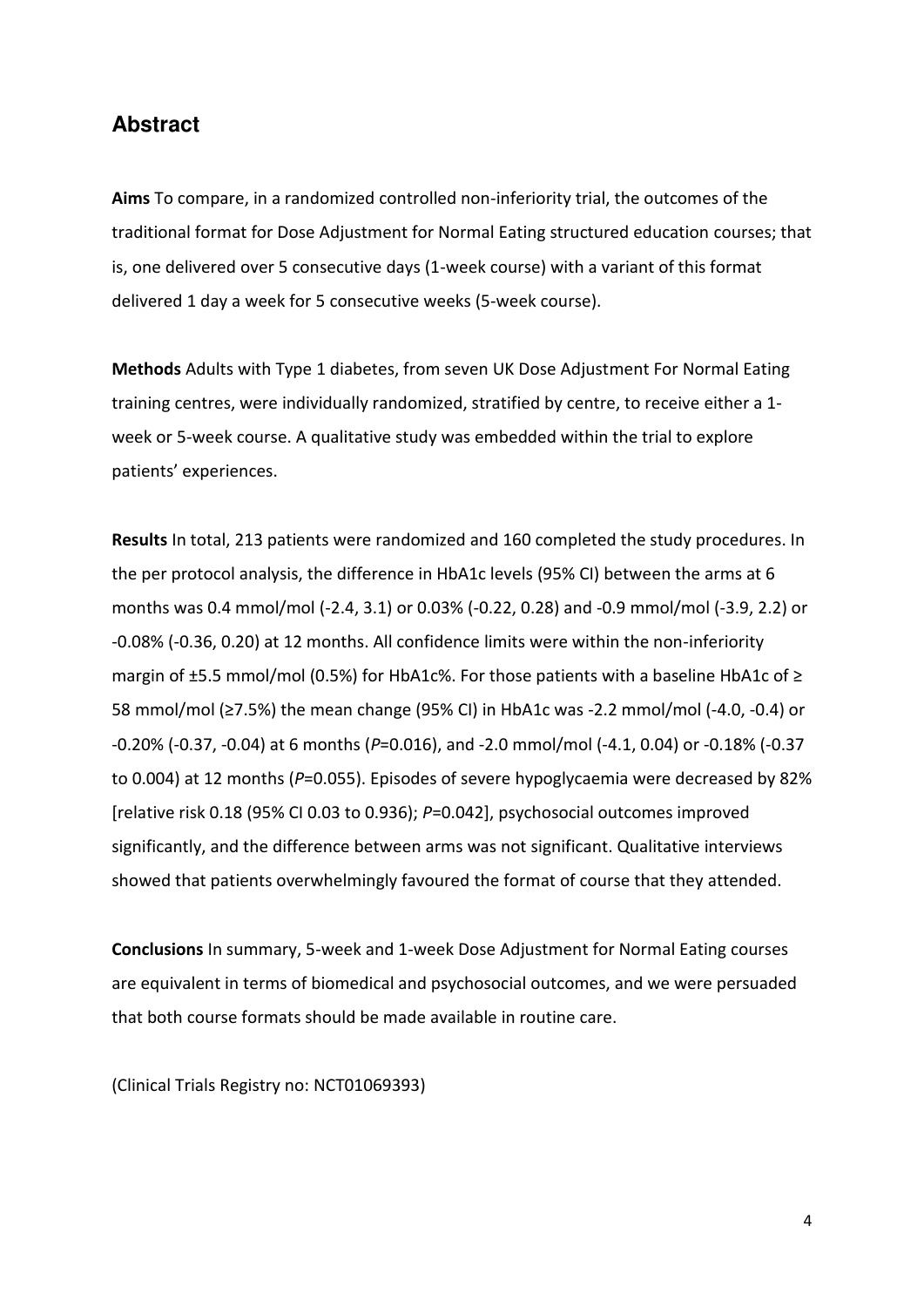### **Abstract**

**Aims** To compare, in a randomized controlled non-inferiority trial, the outcomes of the traditional format for Dose Adjustment for Normal Eating structured education courses; that is, one delivered over 5 consecutive days (1-week course) with a variant of this format delivered 1 day a week for 5 consecutive weeks (5-week course).

**Methods** Adults with Type 1 diabetes, from seven UK Dose Adjustment For Normal Eating training centres, were individually randomized, stratified by centre, to receive either a 1 week or 5-week course. A qualitative study was embedded within the trial to explore patients' experiences.

**Results** In total, 213 patients were randomized and 160 completed the study procedures. In the per protocol analysis, the difference in HbA1c levels (95% CI) between the arms at 6 months was 0.4 mmol/mol (-2.4, 3.1) or 0.03% (-0.22, 0.28) and -0.9 mmol/mol (-3.9, 2.2) or -0.08% (-0.36, 0.20) at 12 months. All confidence limits were within the non-inferiority margin of  $\pm$ 5.5 mmol/mol (0.5%) for HbA1c%. For those patients with a baseline HbA1c of  $\geq$ 58 mmol/mol ( $≥7.5%$ ) the mean change (95% CI) in HbA1c was -2.2 mmol/mol (-4.0, -0.4) or -0.20% (-0.37, -0.04) at 6 months (*P*=0.016), and -2.0 mmol/mol (-4.1, 0.04) or -0.18% (-0.37 to 0.004) at 12 months (P=0.055). Episodes of severe hypoglycaemia were decreased by 82% [relative risk 0.18 (95% CI 0.03 to 0.936); *P*=0.042], psychosocial outcomes improved significantly, and the difference between arms was not significant. Qualitative interviews showed that patients overwhelmingly favoured the format of course that they attended.

**Conclusions** In summary, 5-week and 1-week Dose Adjustment for Normal Eating courses are equivalent in terms of biomedical and psychosocial outcomes, and we were persuaded that both course formats should be made available in routine care.

(Clinical Trials Registry no: NCT01069393)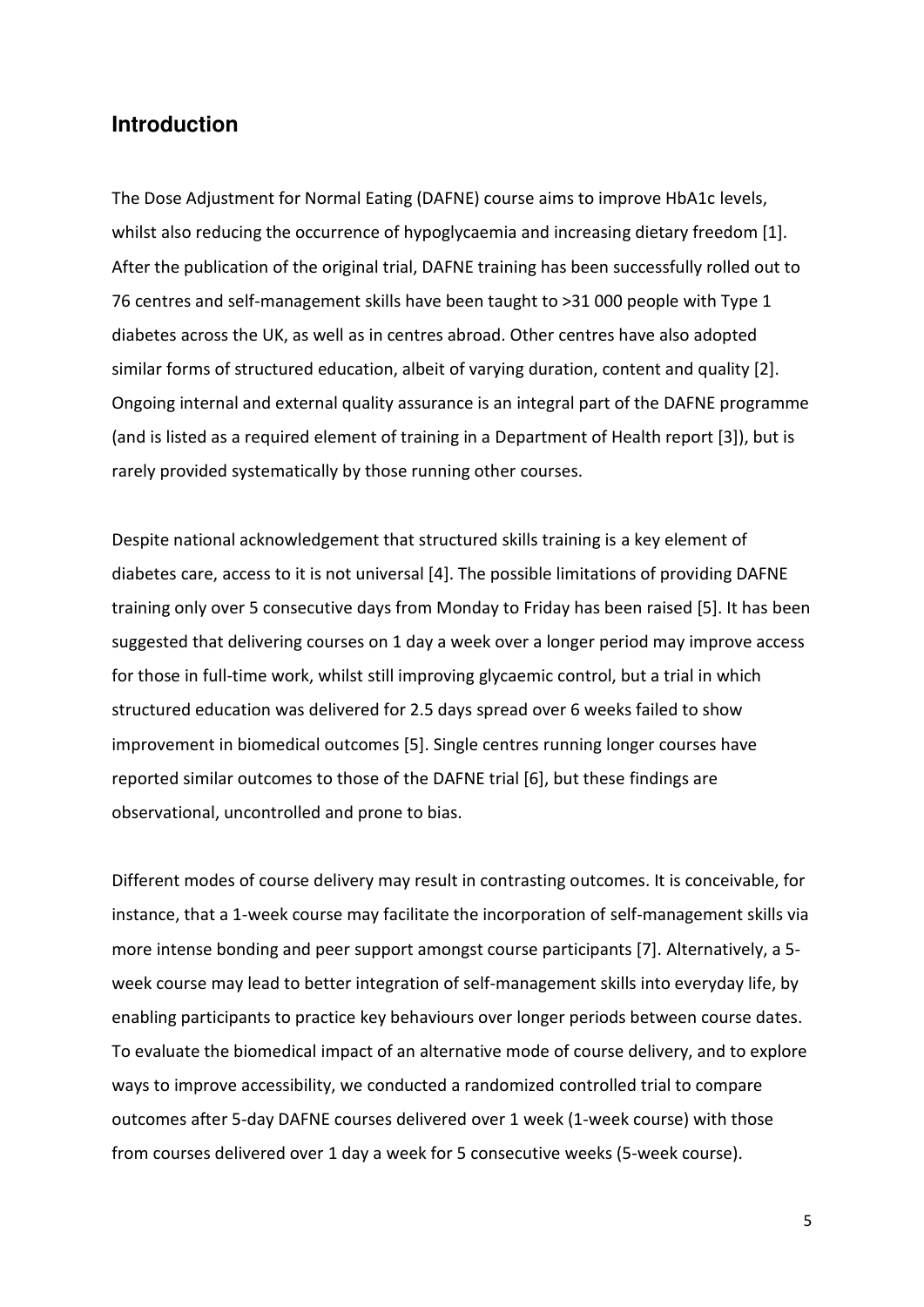## **Introduction**

The Dose Adjustment for Normal Eating (DAFNE) course aims to improve HbA1c levels, whilst also reducing the occurrence of hypoglycaemia and increasing dietary freedom [1]. After the publication of the original trial, DAFNE training has been successfully rolled out to 76 centres and self-management skills have been taught to >31 000 people with Type 1 diabetes across the UK, as well as in centres abroad. Other centres have also adopted similar forms of structured education, albeit of varying duration, content and quality [2]. Ongoing internal and external quality assurance is an integral part of the DAFNE programme (and is listed as a required element of training in a Department of Health report [3]), but is rarely provided systematically by those running other courses.

Despite national acknowledgement that structured skills training is a key element of diabetes care, access to it is not universal [4]. The possible limitations of providing DAFNE training only over 5 consecutive days from Monday to Friday has been raised [5]. It has been suggested that delivering courses on 1 day a week over a longer period may improve access for those in full-time work, whilst still improving glycaemic control, but a trial in which structured education was delivered for 2.5 days spread over 6 weeks failed to show improvement in biomedical outcomes [5]. Single centres running longer courses have reported similar outcomes to those of the DAFNE trial [6], but these findings are observational, uncontrolled and prone to bias.

Different modes of course delivery may result in contrasting outcomes. It is conceivable, for instance, that a 1-week course may facilitate the incorporation of self-management skills via more intense bonding and peer support amongst course participants [7]. Alternatively, a 5 week course may lead to better integration of self-management skills into everyday life, by enabling participants to practice key behaviours over longer periods between course dates. To evaluate the biomedical impact of an alternative mode of course delivery, and to explore ways to improve accessibility, we conducted a randomized controlled trial to compare outcomes after 5-day DAFNE courses delivered over 1 week (1-week course) with those from courses delivered over 1 day a week for 5 consecutive weeks (5-week course).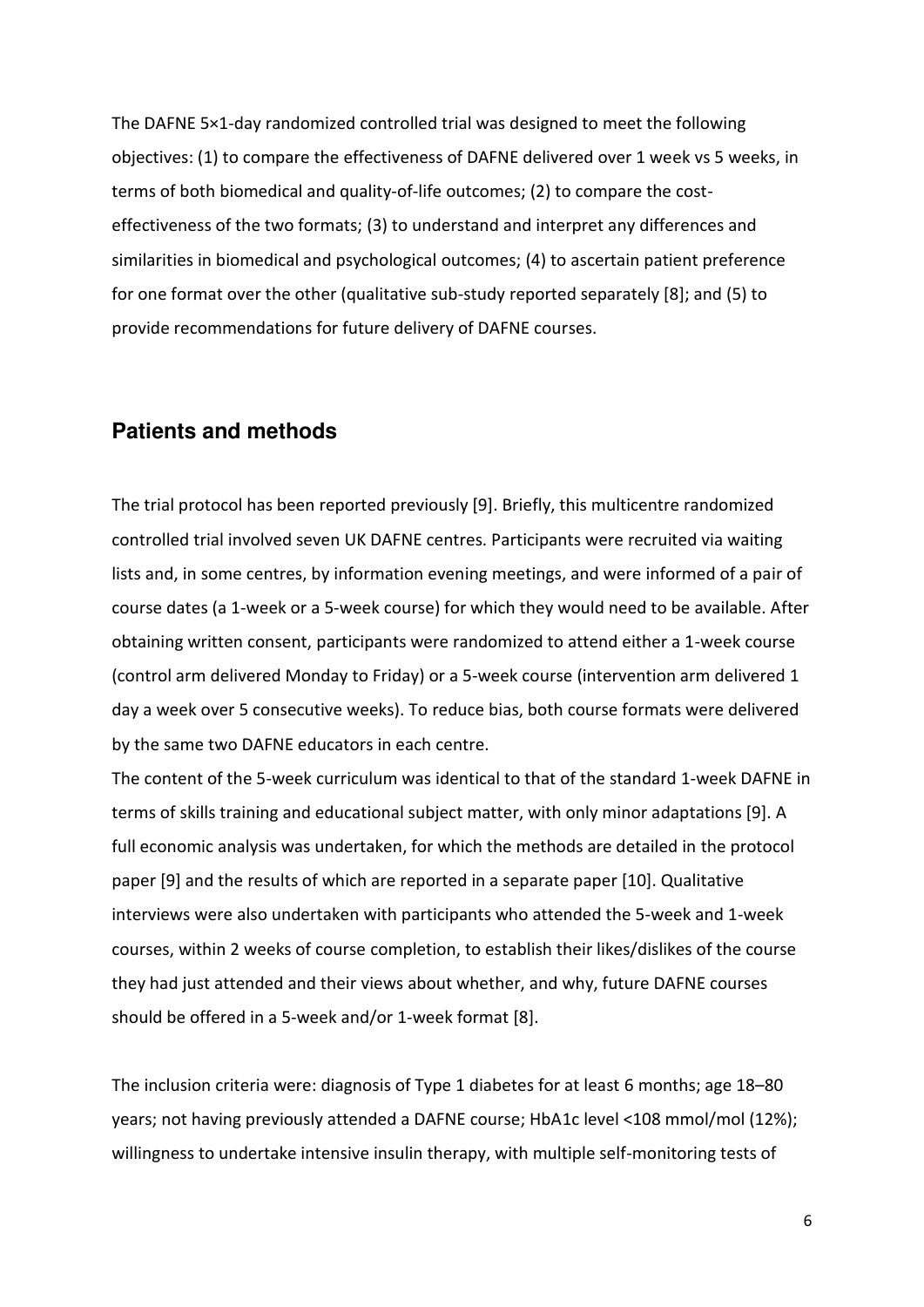The DAFNE 5×1-day randomized controlled trial was designed to meet the following objectives: (1) to compare the effectiveness of DAFNE delivered over 1 week vs 5 weeks, in terms of both biomedical and quality-of-life outcomes; (2) to compare the costeffectiveness of the two formats; (3) to understand and interpret any differences and similarities in biomedical and psychological outcomes; (4) to ascertain patient preference for one format over the other (qualitative sub-study reported separately [8]; and (5) to provide recommendations for future delivery of DAFNE courses.

### **Patients and methods**

The trial protocol has been reported previously [9]. Briefly, this multicentre randomized controlled trial involved seven UK DAFNE centres. Participants were recruited via waiting lists and, in some centres, by information evening meetings, and were informed of a pair of course dates (a 1-week or a 5-week course) for which they would need to be available. After obtaining written consent, participants were randomized to attend either a 1-week course (control arm delivered Monday to Friday) or a 5-week course (intervention arm delivered 1 day a week over 5 consecutive weeks). To reduce bias, both course formats were delivered by the same two DAFNE educators in each centre.

The content of the 5-week curriculum was identical to that of the standard 1-week DAFNE in terms of skills training and educational subject matter, with only minor adaptations [9]. A full economic analysis was undertaken, for which the methods are detailed in the protocol paper [9] and the results of which are reported in a separate paper [10]. Qualitative interviews were also undertaken with participants who attended the 5-week and 1-week courses, within 2 weeks of course completion, to establish their likes/dislikes of the course they had just attended and their views about whether, and why, future DAFNE courses should be offered in a 5-week and/or 1-week format [8].

The inclusion criteria were: diagnosis of Type 1 diabetes for at least 6 months; age 18-80 years; not having previously attended a DAFNE course; HbA1c level <108 mmol/mol (12%); willingness to undertake intensive insulin therapy, with multiple self-monitoring tests of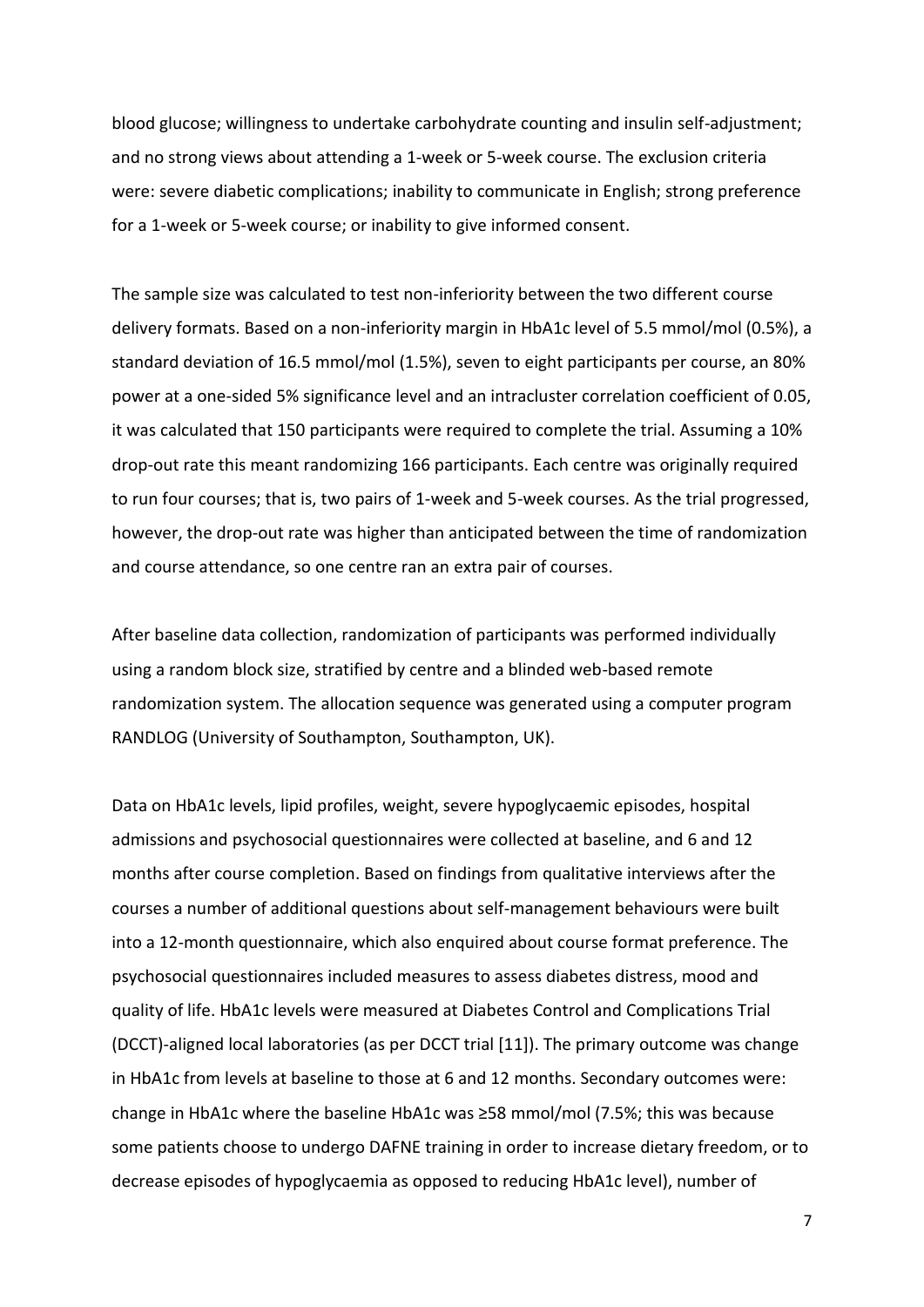blood glucose; willingness to undertake carbohydrate counting and insulin self-adjustment; and no strong views about attending a 1-week or 5-week course. The exclusion criteria were: severe diabetic complications; inability to communicate in English; strong preference for a 1-week or 5-week course; or inability to give informed consent.

The sample size was calculated to test non-inferiority between the two different course delivery formats. Based on a non-inferiority margin in HbA1c level of 5.5 mmol/mol (0.5%), a standard deviation of 16.5 mmol/mol (1.5%), seven to eight participants per course, an 80% power at a one-sided 5% significance level and an intracluster correlation coefficient of 0.05, it was calculated that 150 participants were required to complete the trial. Assuming a 10% drop-out rate this meant randomizing 166 participants. Each centre was originally required to run four courses; that is, two pairs of 1-week and 5-week courses. As the trial progressed, however, the drop-out rate was higher than anticipated between the time of randomization and course attendance, so one centre ran an extra pair of courses.

After baseline data collection, randomization of participants was performed individually using a random block size, stratified by centre and a blinded web-based remote randomization system. The allocation sequence was generated using a computer program RANDLOG (University of Southampton, Southampton, UK).

Data on HbA1c levels, lipid profiles, weight, severe hypoglycaemic episodes, hospital admissions and psychosocial questionnaires were collected at baseline, and 6 and 12 months after course completion. Based on findings from qualitative interviews after the courses a number of additional questions about self-management behaviours were built into a 12-month questionnaire, which also enquired about course format preference. The psychosocial questionnaires included measures to assess diabetes distress, mood and quality of life. HbA1c levels were measured at Diabetes Control and Complications Trial (DCCT)-aligned local laboratories (as per DCCT trial [11]). The primary outcome was change in HbA1c from levels at baseline to those at 6 and 12 months. Secondary outcomes were: change in HbA1c where the baseline HbA1c was ≥58 mmol/mol (7.5%; this was because some patients choose to undergo DAFNE training in order to increase dietary freedom, or to decrease episodes of hypoglycaemia as opposed to reducing HbA1c level), number of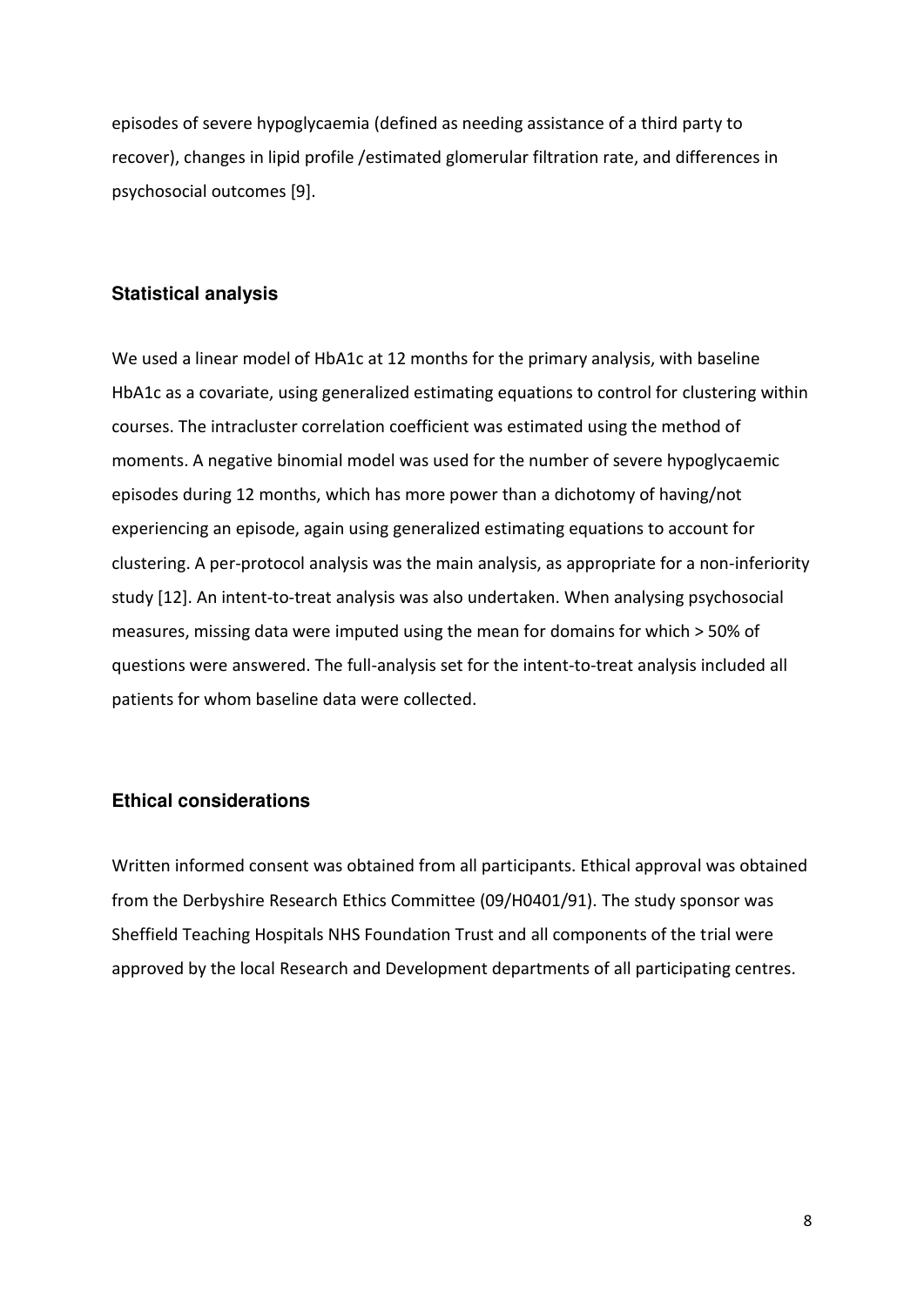episodes of severe hypoglycaemia (defined as needing assistance of a third party to recover), changes in lipid profile /estimated glomerular filtration rate, and differences in psychosocial outcomes [9].

#### **Statistical analysis**

We used a linear model of HbA1c at 12 months for the primary analysis, with baseline HbA1c as a covariate, using generalized estimating equations to control for clustering within courses. The intracluster correlation coefficient was estimated using the method of moments. A negative binomial model was used for the number of severe hypoglycaemic episodes during 12 months, which has more power than a dichotomy of having/not experiencing an episode, again using generalized estimating equations to account for clustering. A per-protocol analysis was the main analysis, as appropriate for a non-inferiority study [12]. An intent-to-treat analysis was also undertaken. When analysing psychosocial measures, missing data were imputed using the mean for domains for which > 50% of questions were answered. The full-analysis set for the intent-to-treat analysis included all patients for whom baseline data were collected.

#### **Ethical considerations**

Written informed consent was obtained from all participants. Ethical approval was obtained from the Derbyshire Research Ethics Committee (09/H0401/91). The study sponsor was Sheffield Teaching Hospitals NHS Foundation Trust and all components of the trial were approved by the local Research and Development departments of all participating centres.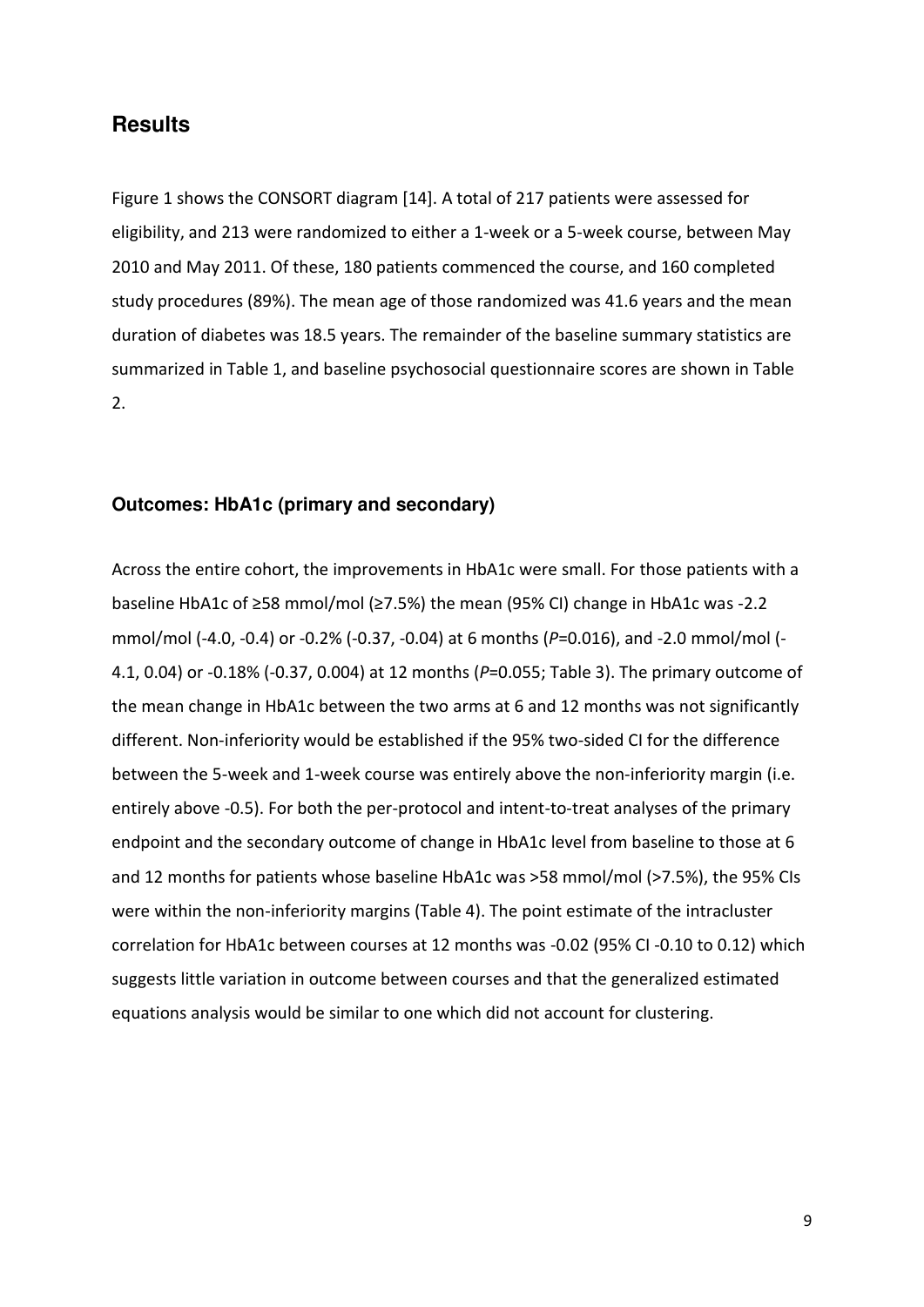### **Results**

Figure 1 shows the CONSORT diagram [14]. A total of 217 patients were assessed for eligibility, and 213 were randomized to either a 1-week or a 5-week course, between May 2010 and May 2011. Of these, 180 patients commenced the course, and 160 completed study procedures (89%). The mean age of those randomized was 41.6 years and the mean duration of diabetes was 18.5 years. The remainder of the baseline summary statistics are summarized in Table 1, and baseline psychosocial questionnaire scores are shown in Table 2.

#### **Outcomes: HbA1c (primary and secondary)**

Across the entire cohort, the improvements in HbA1c were small. For those patients with a baseline HbA1c of ≥58 mmol/mol (≥7.5%) the mean (95% CI) change in HbA1c was -2.2 mmol/mol (-4.0, -0.4) or -0.2% (-0.37, -0.04) at 6 months (*P*=0.016), and -2.0 mmol/mol (- 4.1, 0.04) or -0.18% (-0.37, 0.004) at 12 months (*P*=0.055; Table 3). The primary outcome of the mean change in HbA1c between the two arms at 6 and 12 months was not significantly different. Non-inferiority would be established if the 95% two-sided CI for the difference between the 5-week and 1-week course was entirely above the non-inferiority margin (i.e. entirely above -0.5). For both the per-protocol and intent-to-treat analyses of the primary endpoint and the secondary outcome of change in HbA1c level from baseline to those at 6 and 12 months for patients whose baseline HbA1c was >58 mmol/mol (>7.5%), the 95% CIs were within the non-inferiority margins (Table 4). The point estimate of the intracluster correlation for HbA1c between courses at 12 months was -0.02 (95% CI -0.10 to 0.12) which suggests little variation in outcome between courses and that the generalized estimated equations analysis would be similar to one which did not account for clustering.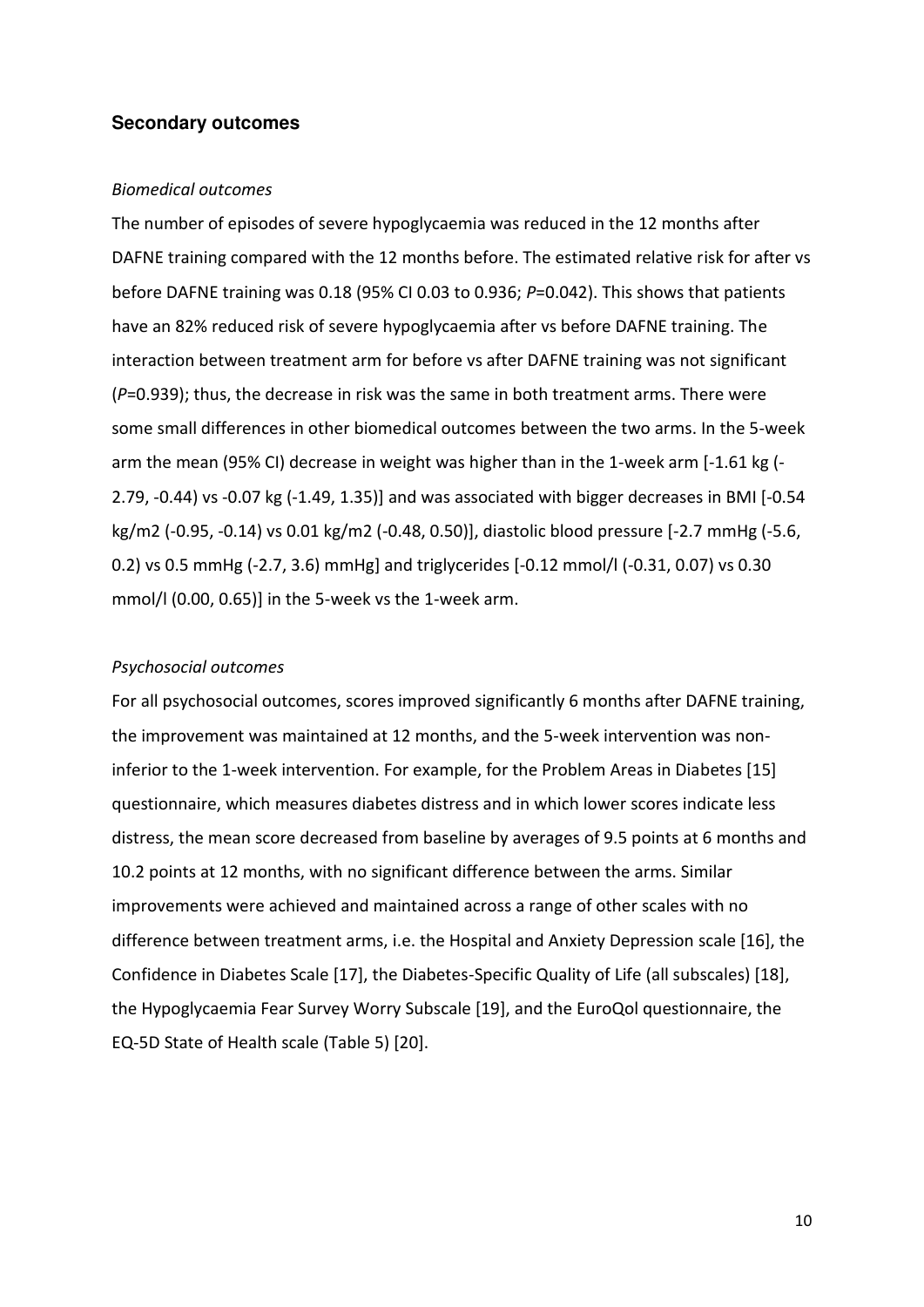#### **Secondary outcomes**

#### *Biomedical outcomes*

The number of episodes of severe hypoglycaemia was reduced in the 12 months after DAFNE training compared with the 12 months before. The estimated relative risk for after vs before DAFNE training was 0.18 (95% CI 0.03 to 0.936; *P*=0.042). This shows that patients have an 82% reduced risk of severe hypoglycaemia after vs before DAFNE training. The interaction between treatment arm for before vs after DAFNE training was not significant (*P*=0.939); thus, the decrease in risk was the same in both treatment arms. There were some small differences in other biomedical outcomes between the two arms. In the 5-week arm the mean (95% CI) decrease in weight was higher than in the 1-week arm [-1.61 kg (- 2.79, -0.44) vs -0.07 kg (-1.49, 1.35)] and was associated with bigger decreases in BMI [-0.54 kg/m2 (-0.95, -0.14) vs 0.01 kg/m2 (-0.48, 0.50)], diastolic blood pressure [-2.7 mmHg (-5.6, 0.2) vs 0.5 mmHg (-2.7, 3.6) mmHg] and triglycerides [-0.12 mmol/l (-0.31, 0.07) vs 0.30 mmol/l (0.00, 0.65)] in the 5-week vs the 1-week arm.

#### *Psychosocial outcomes*

For all psychosocial outcomes, scores improved significantly 6 months after DAFNE training, the improvement was maintained at 12 months, and the 5-week intervention was noninferior to the 1-week intervention. For example, for the Problem Areas in Diabetes [15] questionnaire, which measures diabetes distress and in which lower scores indicate less distress, the mean score decreased from baseline by averages of 9.5 points at 6 months and 10.2 points at 12 months, with no significant difference between the arms. Similar improvements were achieved and maintained across a range of other scales with no difference between treatment arms, i.e. the Hospital and Anxiety Depression scale [16], the Confidence in Diabetes Scale [17], the Diabetes-Specific Quality of Life (all subscales) [18], the Hypoglycaemia Fear Survey Worry Subscale [19], and the EuroQol questionnaire, the EQ-5D State of Health scale (Table 5) [20].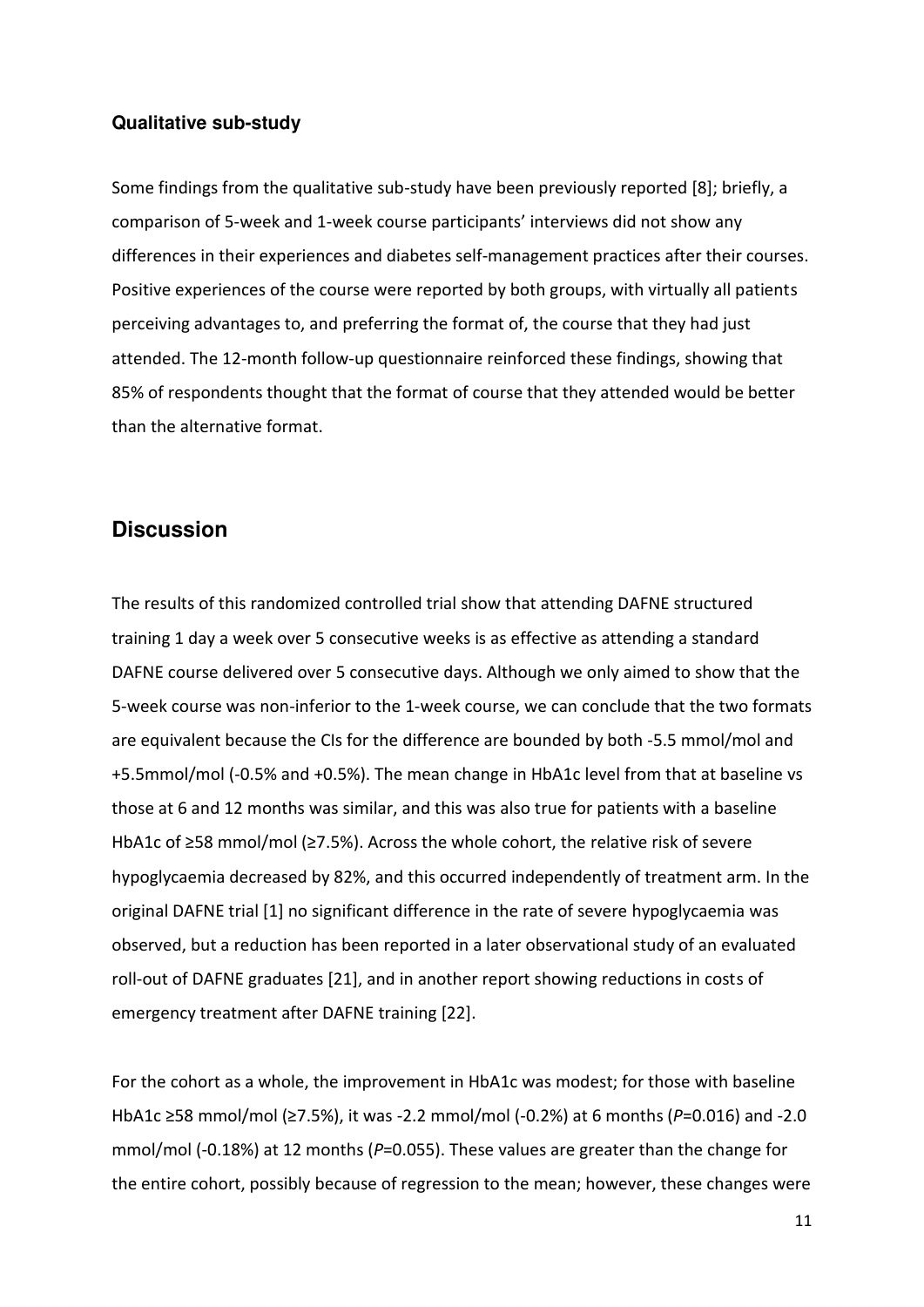#### **Qualitative sub-study**

Some findings from the qualitative sub-study have been previously reported [8]; briefly, a comparison of 5-week and 1-week course participants' interviews did not show any differences in their experiences and diabetes self-management practices after their courses. Positive experiences of the course were reported by both groups, with virtually all patients perceiving advantages to, and preferring the format of, the course that they had just attended. The 12-month follow-up questionnaire reinforced these findings, showing that 85% of respondents thought that the format of course that they attended would be better than the alternative format.

## **Discussion**

The results of this randomized controlled trial show that attending DAFNE structured training 1 day a week over 5 consecutive weeks is as effective as attending a standard DAFNE course delivered over 5 consecutive days. Although we only aimed to show that the 5-week course was non-inferior to the 1-week course, we can conclude that the two formats are equivalent because the CIs for the difference are bounded by both -5.5 mmol/mol and +5.5mmol/mol (-0.5% and +0.5%). The mean change in HbA1c level from that at baseline vs those at 6 and 12 months was similar, and this was also true for patients with a baseline HbA1c of ≥58 mmol/mol (≥7.5%). Across the whole cohort, the relative risk of severe hypoglycaemia decreased by 82%, and this occurred independently of treatment arm. In the original DAFNE trial [1] no significant difference in the rate of severe hypoglycaemia was observed, but a reduction has been reported in a later observational study of an evaluated roll-out of DAFNE graduates [21], and in another report showing reductions in costs of emergency treatment after DAFNE training [22].

For the cohort as a whole, the improvement in HbA1c was modest; for those with baseline HbA1c ≥58 mmol/mol (≥7.5%), it was -2.2 mmol/mol (-0.2%) at 6 months ( $P=0.016$ ) and -2.0 mmol/mol (-0.18%) at 12 months (*P*=0.055). These values are greater than the change for the entire cohort, possibly because of regression to the mean; however, these changes were

11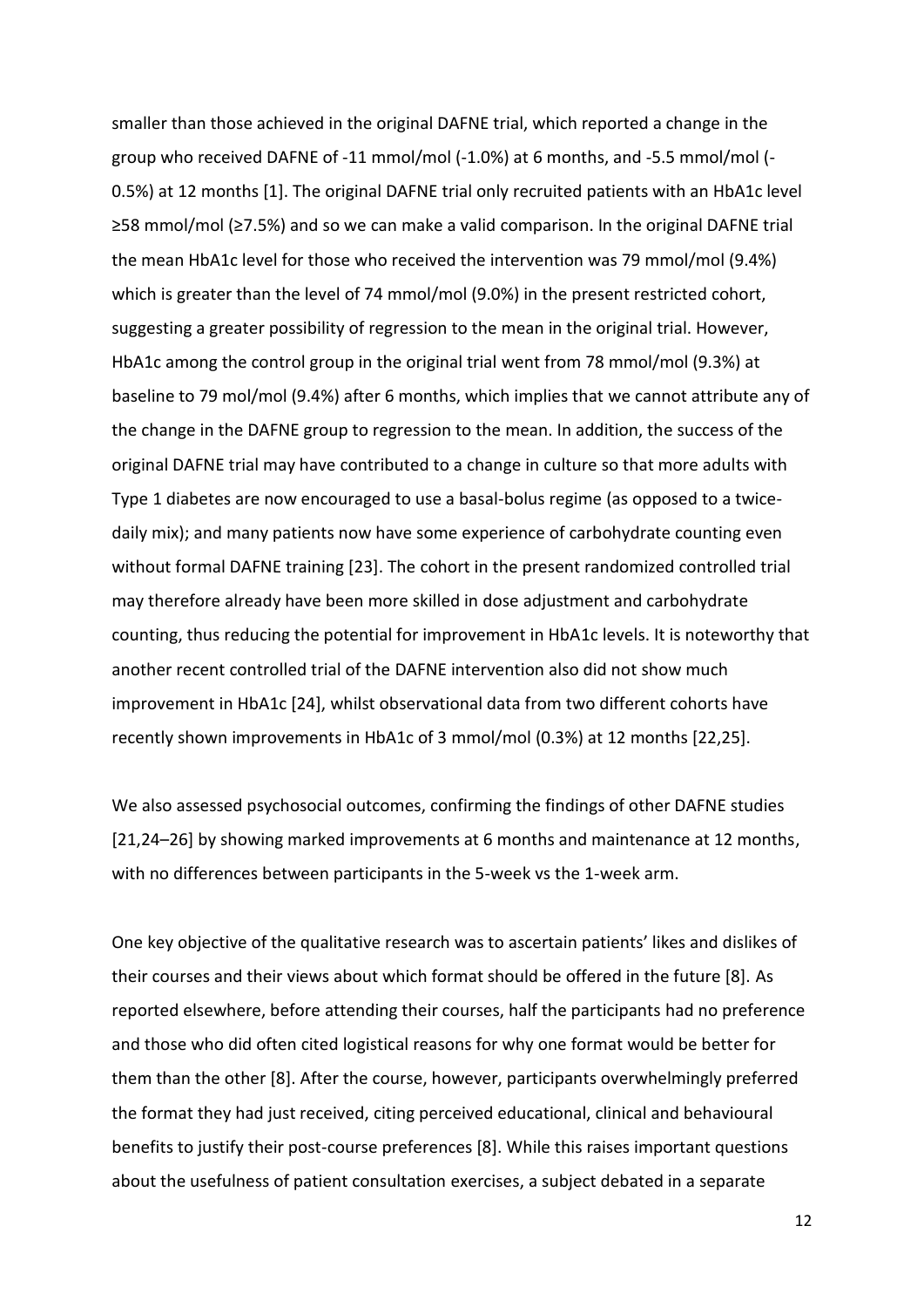smaller than those achieved in the original DAFNE trial, which reported a change in the group who received DAFNE of -11 mmol/mol (-1.0%) at 6 months, and -5.5 mmol/mol (- 0.5%) at 12 months [1]. The original DAFNE trial only recruited patients with an HbA1c level  $\geq$ 58 mmol/mol ( $\geq$ 7.5%) and so we can make a valid comparison. In the original DAFNE trial the mean HbA1c level for those who received the intervention was 79 mmol/mol (9.4%) which is greater than the level of 74 mmol/mol (9.0%) in the present restricted cohort, suggesting a greater possibility of regression to the mean in the original trial. However, HbA1c among the control group in the original trial went from 78 mmol/mol (9.3%) at baseline to 79 mol/mol (9.4%) after 6 months, which implies that we cannot attribute any of the change in the DAFNE group to regression to the mean. In addition, the success of the original DAFNE trial may have contributed to a change in culture so that more adults with Type 1 diabetes are now encouraged to use a basal-bolus regime (as opposed to a twicedaily mix); and many patients now have some experience of carbohydrate counting even without formal DAFNE training [23]. The cohort in the present randomized controlled trial may therefore already have been more skilled in dose adjustment and carbohydrate counting, thus reducing the potential for improvement in HbA1c levels. It is noteworthy that another recent controlled trial of the DAFNE intervention also did not show much improvement in HbA1c [24], whilst observational data from two different cohorts have recently shown improvements in HbA1c of 3 mmol/mol (0.3%) at 12 months [22,25].

We also assessed psychosocial outcomes, confirming the findings of other DAFNE studies [21,24-26] by showing marked improvements at 6 months and maintenance at 12 months, with no differences between participants in the 5-week vs the 1-week arm.

One key objective of the qualitative research was to ascertain patients' likes and dislikes of their courses and their views about which format should be offered in the future [8]. As reported elsewhere, before attending their courses, half the participants had no preference and those who did often cited logistical reasons for why one format would be better for them than the other [8]. After the course, however, participants overwhelmingly preferred the format they had just received, citing perceived educational, clinical and behavioural benefits to justify their post-course preferences [8]. While this raises important questions about the usefulness of patient consultation exercises, a subject debated in a separate

12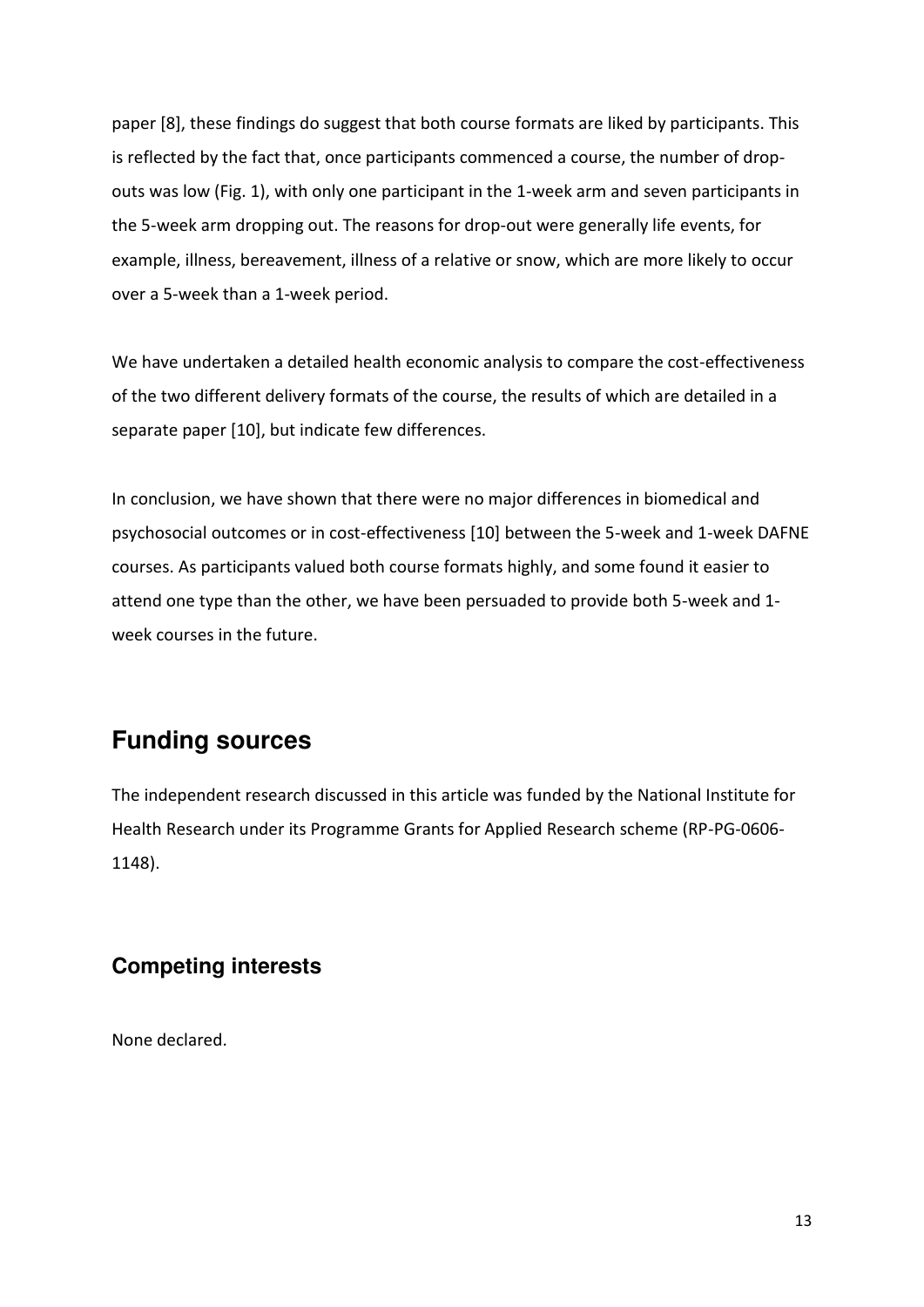paper [8], these findings do suggest that both course formats are liked by participants. This is reflected by the fact that, once participants commenced a course, the number of dropouts was low (Fig. 1), with only one participant in the 1-week arm and seven participants in the 5-week arm dropping out. The reasons for drop-out were generally life events, for example, illness, bereavement, illness of a relative or snow, which are more likely to occur over a 5-week than a 1-week period.

We have undertaken a detailed health economic analysis to compare the cost-effectiveness of the two different delivery formats of the course, the results of which are detailed in a separate paper [10], but indicate few differences.

In conclusion, we have shown that there were no major differences in biomedical and psychosocial outcomes or in cost-effectiveness [10] between the 5-week and 1-week DAFNE courses. As participants valued both course formats highly, and some found it easier to attend one type than the other, we have been persuaded to provide both 5-week and 1 week courses in the future.

# **Funding sources**

The independent research discussed in this article was funded by the National Institute for Health Research under its Programme Grants for Applied Research scheme (RP-PG-0606- 1148).

# **Competing interests**

None declared.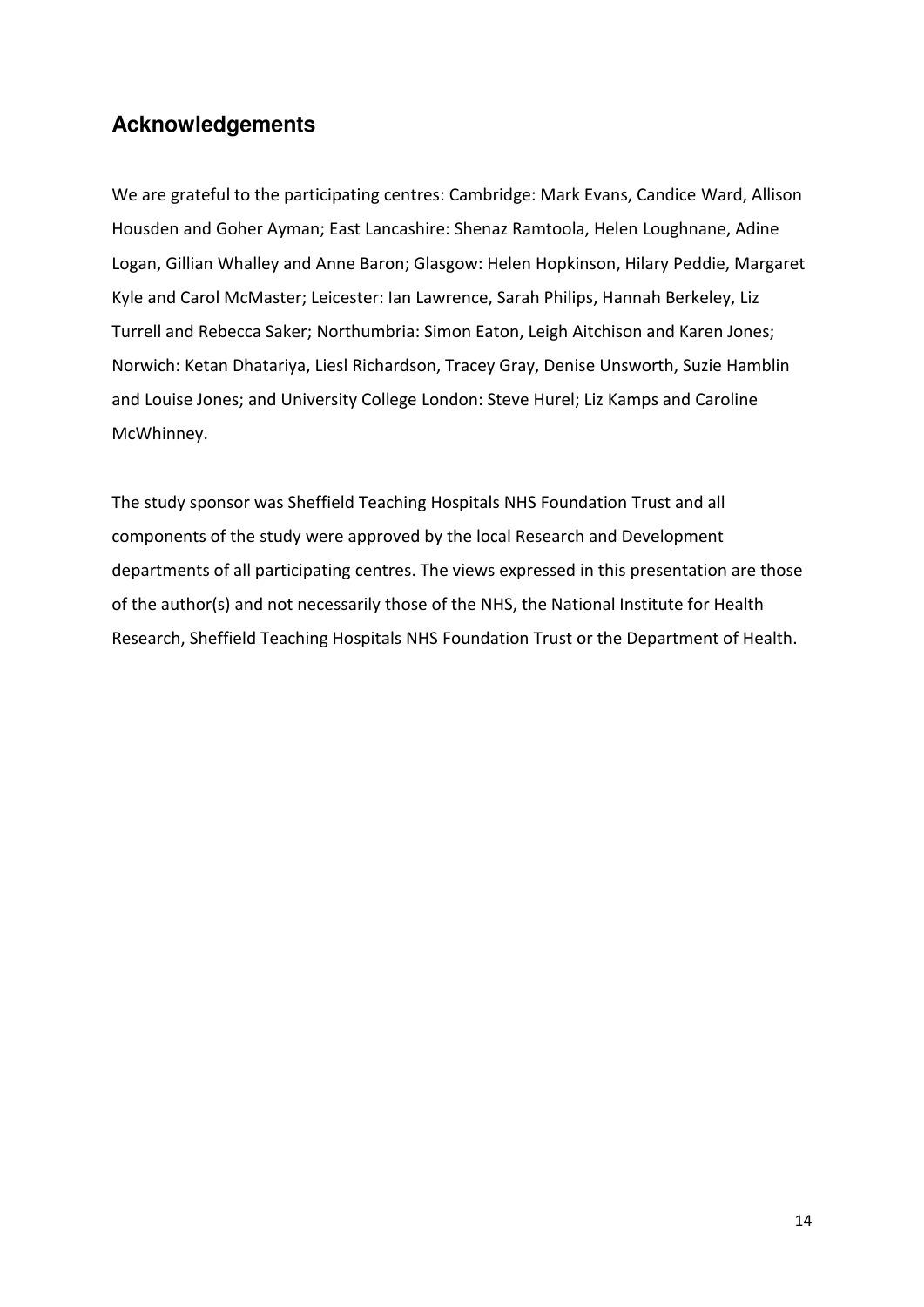# **Acknowledgements**

We are grateful to the participating centres: Cambridge: Mark Evans, Candice Ward, Allison Housden and Goher Ayman; East Lancashire: Shenaz Ramtoola, Helen Loughnane, Adine Logan, Gillian Whalley and Anne Baron; Glasgow: Helen Hopkinson, Hilary Peddie, Margaret Kyle and Carol McMaster; Leicester: Ian Lawrence, Sarah Philips, Hannah Berkeley, Liz Turrell and Rebecca Saker; Northumbria: Simon Eaton, Leigh Aitchison and Karen Jones; Norwich: Ketan Dhatariya, Liesl Richardson, Tracey Gray, Denise Unsworth, Suzie Hamblin and Louise Jones; and University College London: Steve Hurel; Liz Kamps and Caroline McWhinney.

The study sponsor was Sheffield Teaching Hospitals NHS Foundation Trust and all components of the study were approved by the local Research and Development departments of all participating centres. The views expressed in this presentation are those of the author(s) and not necessarily those of the NHS, the National Institute for Health Research, Sheffield Teaching Hospitals NHS Foundation Trust or the Department of Health.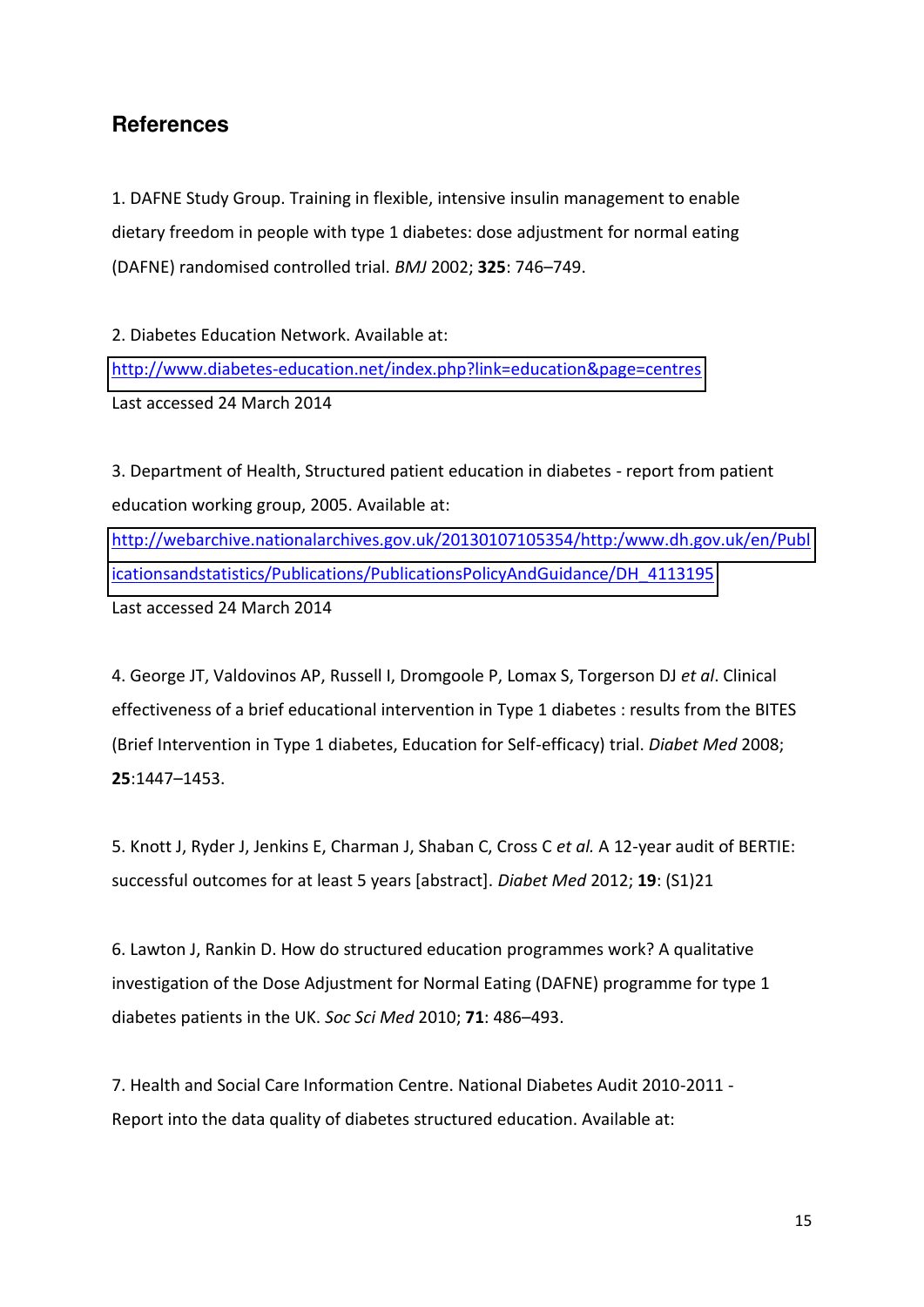# **References**

1. DAFNE Study Group. Training in flexible, intensive insulin management to enable dietary freedom in people with type 1 diabetes: dose adjustment for normal eating (DAFNE) randomised controlled trial. *BMJ* 2002: **325**: 746-749.

2. Diabetes Education Network. Available at: <http://www.diabetes-education.net/index.php?link=education&page=centres> Last accessed 24 March 2014

3. Department of Health, Structured patient education in diabetes - report from patient education working group, 2005. Available at:

[http://webarchive.nationalarchives.gov.uk/20130107105354/http:/www.dh.gov.uk/en/Publ](http://webarchive.nationalarchives.gov.uk/20130107105354/http:/www.dh.gov.uk/en/Publicationsandstatistics/Publications/PublicationsPolicyAndGuidance/DH_4113195) [icationsandstatistics/Publications/PublicationsPolicyAndGuidance/DH\\_4113195](http://webarchive.nationalarchives.gov.uk/20130107105354/http:/www.dh.gov.uk/en/Publicationsandstatistics/Publications/PublicationsPolicyAndGuidance/DH_4113195) Last accessed 24 March 2014

4. George JT, Valdovinos AP, Russell I, Dromgoole P, Lomax S, Torgerson DJ *et al*. Clinical effectiveness of a brief educational intervention in Type 1 diabetes : results from the BITES (Brief Intervention in Type 1 diabetes, Education for Self-efficacy) trial. *Diabet Med* 2008; **25**:1447-1453.

5. Knott J, Ryder J, Jenkins E, Charman J, Shaban C, Cross C *et al.* A 12-year audit of BERTIE: successful outcomes for at least 5 years [abstract]. *Diabet Med* 2012; **19**: (S1)21

6. Lawton J, Rankin D. How do structured education programmes work? A qualitative investigation of the Dose Adjustment for Normal Eating (DAFNE) programme for type 1 diabetes patients in the UK. Soc Sci Med 2010; 71: 486-493.

7. Health and Social Care Information Centre. National Diabetes Audit 2010-2011 - Report into the data quality of diabetes structured education. Available at: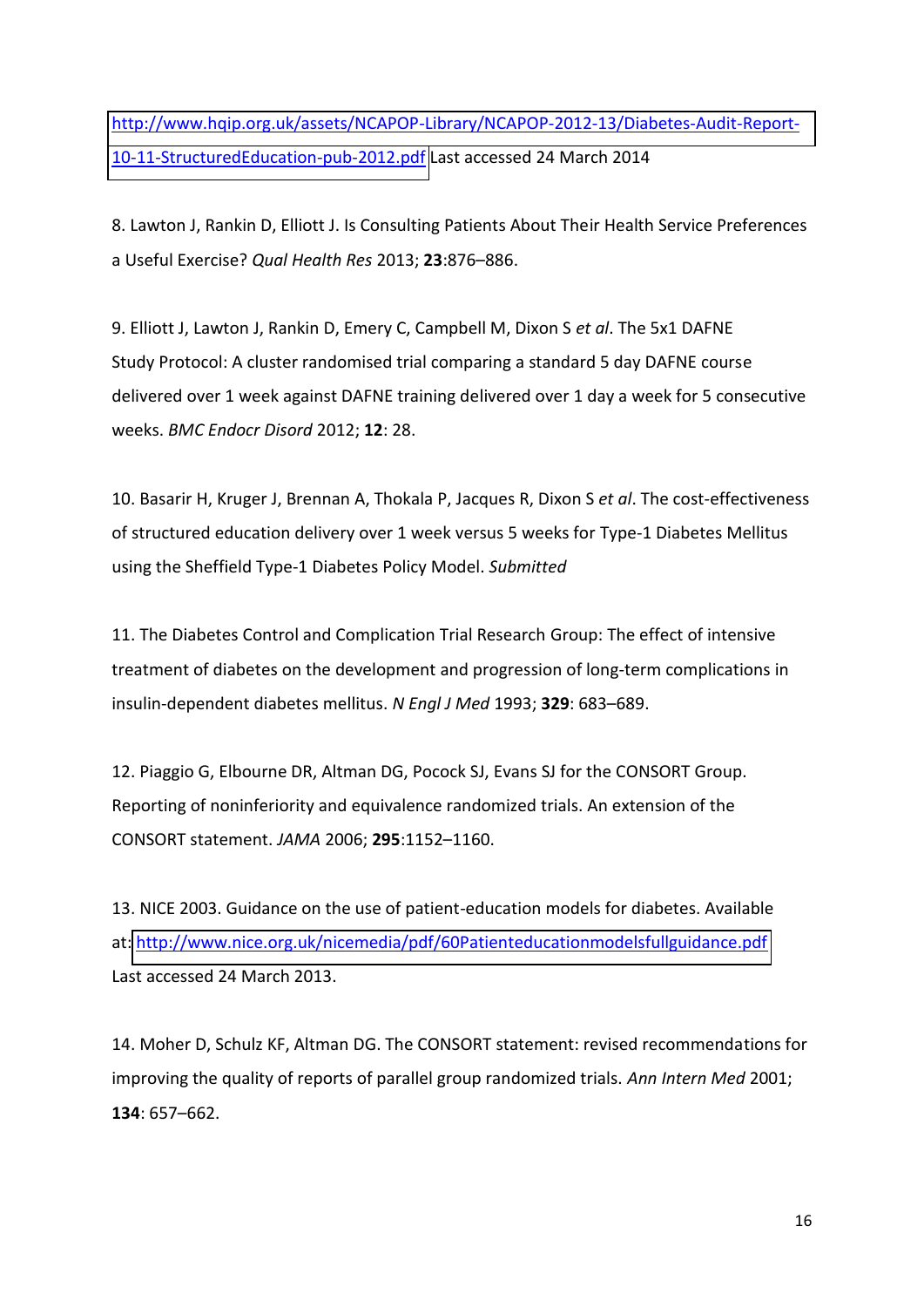[http://www.hqip.org.uk/assets/NCAPOP-Library/NCAPOP-2012-13/Diabetes-Audit-Report-](http://www.hqip.org.uk/assets/NCAPOP-Library/NCAPOP-2012-13/Diabetes-Audit-Report-10-11-StructuredEducation-pub-2012.pdf)[10-11-StructuredEducation-pub-2012.pdf](http://www.hqip.org.uk/assets/NCAPOP-Library/NCAPOP-2012-13/Diabetes-Audit-Report-10-11-StructuredEducation-pub-2012.pdf) Last accessed 24 March 2014

8. Lawton J, Rankin D, Elliott J. Is Consulting Patients About Their Health Service Preferences a Useful Exercise? *Qual Health Res* 2013; **23**:876-886.

9. Elliott J, Lawton J, Rankin D, Emery C, Campbell M, Dixon S *et al*. The 5x1 DAFNE Study Protocol: A cluster randomised trial comparing a standard 5 day DAFNE course delivered over 1 week against DAFNE training delivered over 1 day a week for 5 consecutive weeks. *BMC Endocr Disord* 2012; **12**: 28.

10. Basarir H, Kruger J, Brennan A, Thokala P, Jacques R, Dixon S *et al*. The cost-effectiveness of structured education delivery over 1 week versus 5 weeks for Type-1 Diabetes Mellitus using the Sheffield Type-1 Diabetes Policy Model. *Submitted* 

11. The Diabetes Control and Complication Trial Research Group: The effect of intensive treatment of diabetes on the development and progression of long-term complications in insulin-dependent diabetes mellitus. *N Engl J Med* 1993; 329: 683-689.

12. Piaggio G, Elbourne DR, Altman DG, Pocock SJ, Evans SJ for the CONSORT Group. Reporting of noninferiority and equivalence randomized trials. An extension of the CONSORT statement. JAMA 2006; 295:1152-1160.

13. NICE 2003. Guidance on the use of patient-education models for diabetes. Available at[: http://www.nice.org.uk/nicemedia/pdf/60Patienteducationmodelsfullguidance.pdf](http://www.nice.org.uk/nicemedia/pdf/60Patienteducationmodelsfullguidance.pdf) Last accessed 24 March 2013.

14. Moher D, Schulz KF, Altman DG. The CONSORT statement: revised recommendations for improving the quality of reports of parallel group randomized trials. *Ann Intern Med* 2001; **134**: 657-662.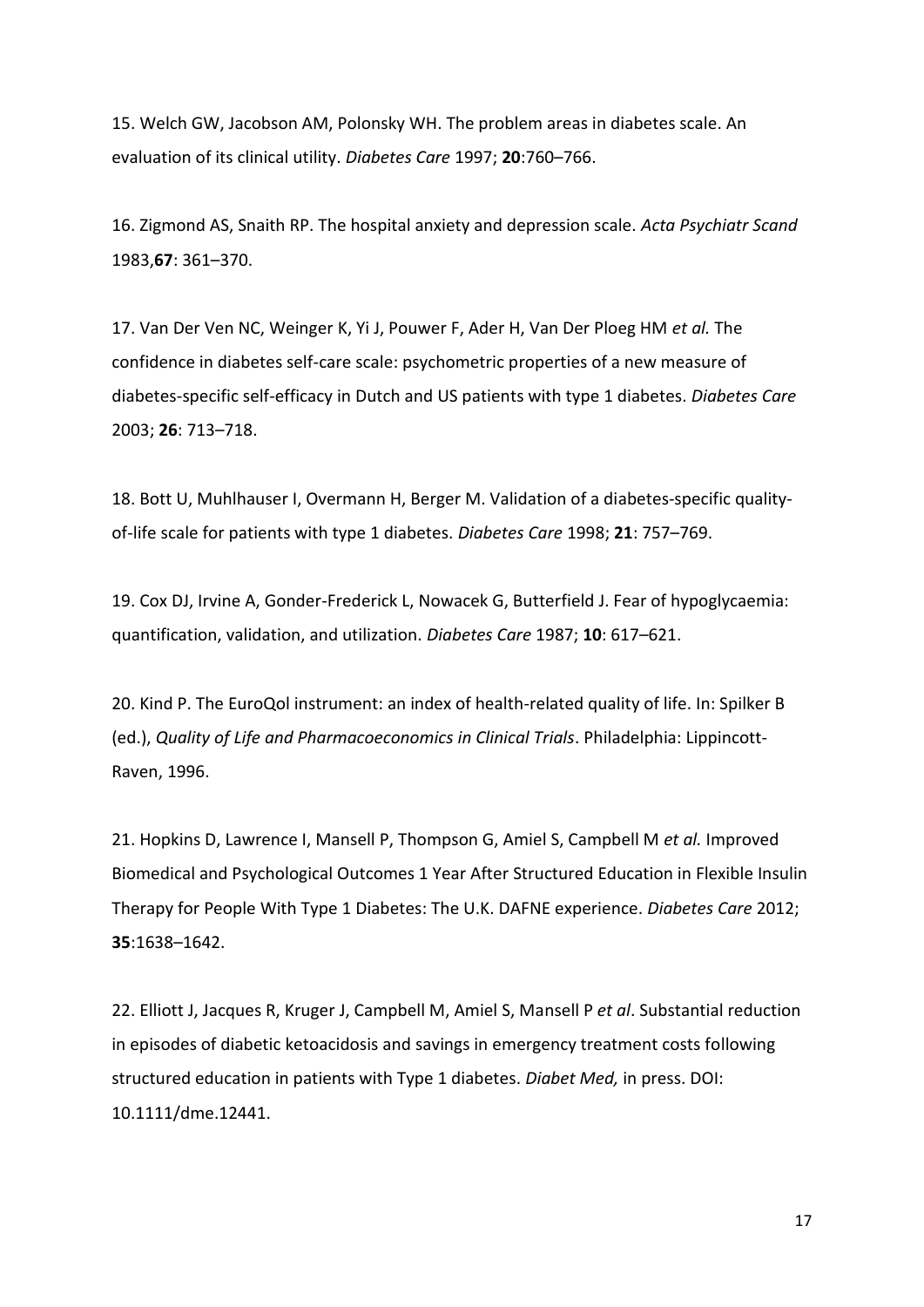15. Welch GW, Jacobson AM, Polonsky WH. The problem areas in diabetes scale. An evaluation of its clinical utility. *Diabetes Care* 1997; 20:760-766.

16. Zigmond AS, Snaith RP. The hospital anxiety and depression scale. *Acta Psychiatr Scand*  1983, **67**: 361 - 370.

17. Van Der Ven NC, Weinger K, Yi J, Pouwer F, Ader H, Van Der Ploeg HM *et al.* The confidence in diabetes self-care scale: psychometric properties of a new measure of diabetes-specific self-efficacy in Dutch and US patients with type 1 diabetes. *Diabetes Care*  2003; **26**: 713-718.

18. Bott U, Muhlhauser I, Overmann H, Berger M. Validation of a diabetes-specific qualityof-life scale for patients with type 1 diabetes. *Diabetes Care* 1998; 21: 757-769.

19. Cox DJ, Irvine A, Gonder-Frederick L, Nowacek G, Butterfield J. Fear of hypoglycaemia: quantification, validation, and utilization. *Diabetes Care* 1987; 10: 617-621.

20. Kind P. The EuroQol instrument: an index of health-related quality of life. In: Spilker B (ed.), *Quality of Life and Pharmacoeconomics in Clinical Trials*. Philadelphia: Lippincott-Raven, 1996.

21. Hopkins D, Lawrence I, Mansell P, Thompson G, Amiel S, Campbell M *et al.* Improved Biomedical and Psychological Outcomes 1 Year After Structured Education in Flexible Insulin Therapy for People With Type 1 Diabetes: The U.K. DAFNE experience. *Diabetes Care* 2012; **35**:1638-1642.

22. Elliott J, Jacques R, Kruger J, Campbell M, Amiel S, Mansell P *et al*. Substantial reduction in episodes of diabetic ketoacidosis and savings in emergency treatment costs following structured education in patients with Type 1 diabetes. *Diabet Med,* in press. DOI: 10.1111/dme.12441.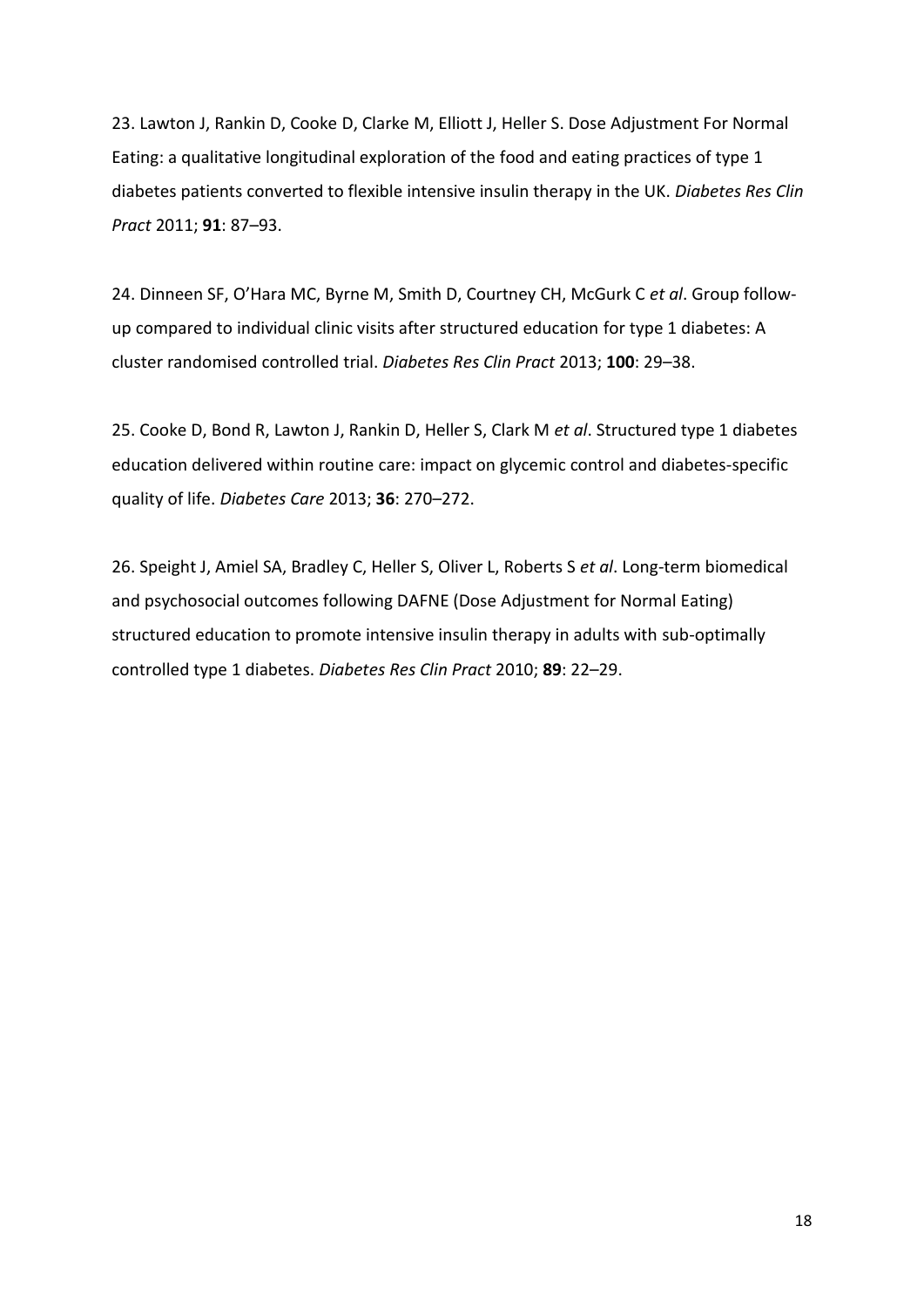23. Lawton J, Rankin D, Cooke D, Clarke M, Elliott J, Heller S. Dose Adjustment For Normal Eating: a qualitative longitudinal exploration of the food and eating practices of type 1 diabetes patients converted to flexible intensive insulin therapy in the UK. *Diabetes Res Clin Pract* 2011; 91: 87-93.

24. Dinneen SF, O'Hara MC, Byrne M, Smith D, Courtney CH, McGurk C et al. Group followup compared to individual clinic visits after structured education for type 1 diabetes: A cluster randomised controlled trial. *Diabetes Res Clin Pract* 2013; 100: 29-38.

25. Cooke D, Bond R, Lawton J, Rankin D, Heller S, Clark M *et al*. Structured type 1 diabetes education delivered within routine care: impact on glycemic control and diabetes-specific quality of life. *Diabetes Care* 2013; **36**: 270-272.

26. Speight J, Amiel SA, Bradley C, Heller S, Oliver L, Roberts S *et al*. Long-term biomedical and psychosocial outcomes following DAFNE (Dose Adjustment for Normal Eating) structured education to promote intensive insulin therapy in adults with sub-optimally controlled type 1 diabetes. *Diabetes Res Clin Pract* 2010; 89: 22-29.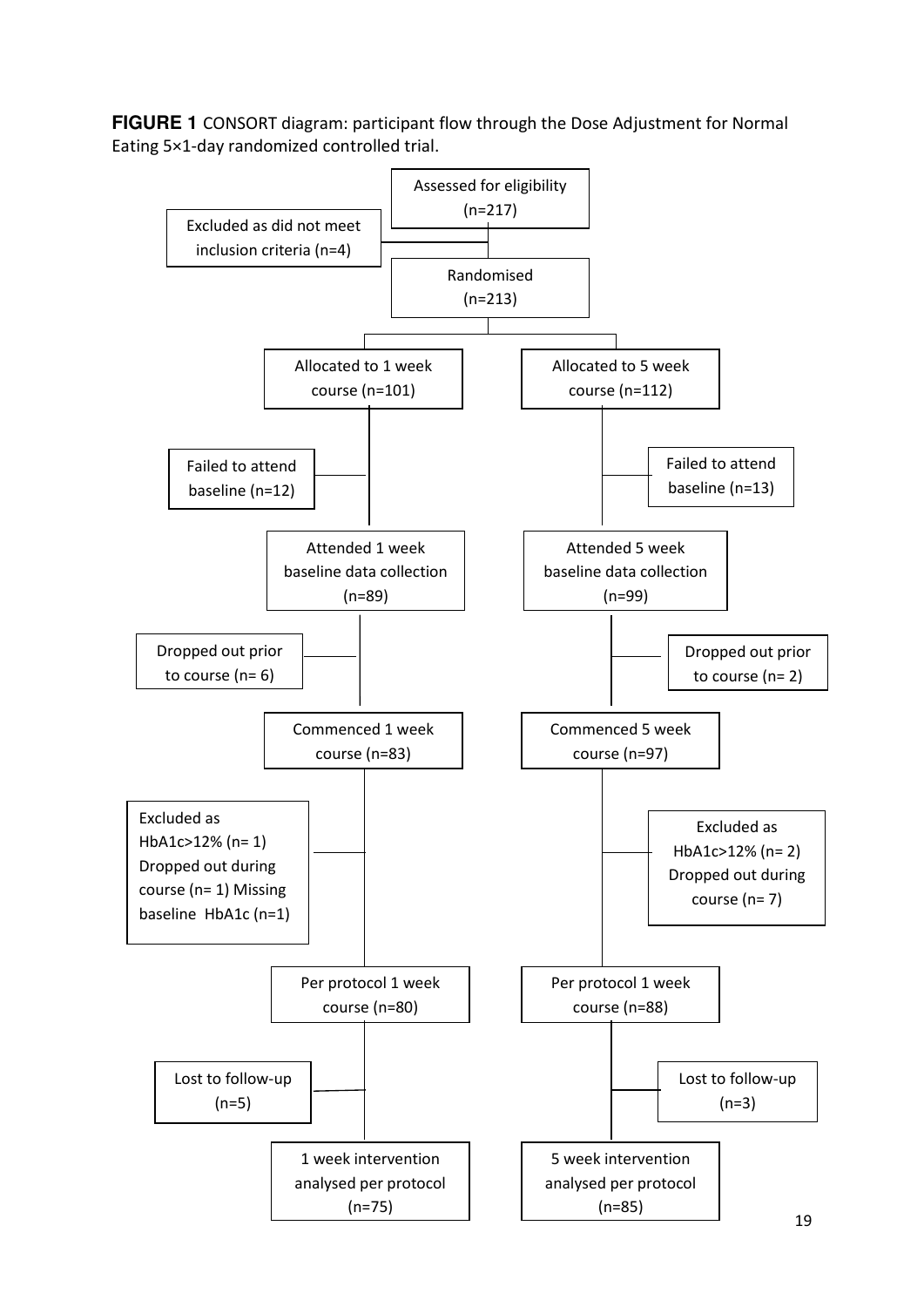**FIGURE 1** CONSORT diagram: participant flow through the Dose Adjustment for Normal Eating 5×1-day randomized controlled trial.

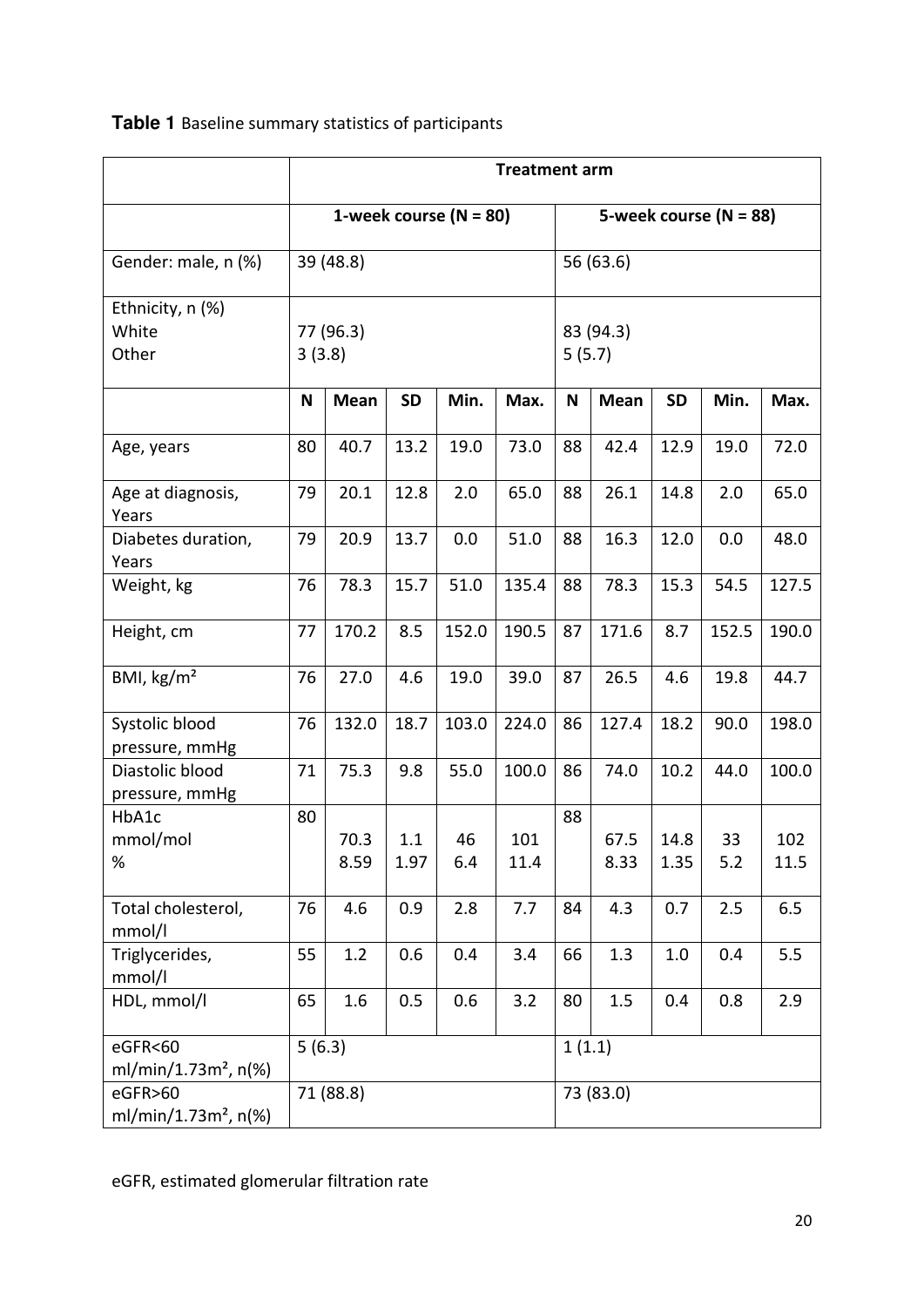# **Table 1** Baseline summary statistics of participants

|                                             |                          |              |             |           | <b>Treatment arm</b> |                          |              |              |           |             |
|---------------------------------------------|--------------------------|--------------|-------------|-----------|----------------------|--------------------------|--------------|--------------|-----------|-------------|
|                                             | 1-week course $(N = 80)$ |              |             |           |                      | 5-week course $(N = 88)$ |              |              |           |             |
| Gender: male, n (%)                         |                          | 39 (48.8)    |             |           |                      |                          | 56 (63.6)    |              |           |             |
| Ethnicity, n (%)<br>White<br>Other          | 77 (96.3)<br>3(3.8)      |              |             |           | 83 (94.3)<br>5(5.7)  |                          |              |              |           |             |
|                                             | N                        | <b>Mean</b>  | <b>SD</b>   | Min.      | Max.                 | N                        | Mean         | <b>SD</b>    | Min.      | Max.        |
| Age, years                                  | 80                       | 40.7         | 13.2        | 19.0      | 73.0                 | 88                       | 42.4         | 12.9         | 19.0      | 72.0        |
| Age at diagnosis,<br>Years                  | 79                       | 20.1         | 12.8        | 2.0       | 65.0                 | 88                       | 26.1         | 14.8         | 2.0       | 65.0        |
| Diabetes duration,<br>Years                 | 79                       | 20.9         | 13.7        | 0.0       | 51.0                 | 88                       | 16.3         | 12.0         | 0.0       | 48.0        |
| Weight, kg                                  | 76                       | 78.3         | 15.7        | 51.0      | 135.4                | 88                       | 78.3         | 15.3         | 54.5      | 127.5       |
| Height, cm                                  | 77                       | 170.2        | 8.5         | 152.0     | 190.5                | 87                       | 171.6        | 8.7          | 152.5     | 190.0       |
| BMI, kg/m <sup>2</sup>                      | 76                       | 27.0         | 4.6         | 19.0      | 39.0                 | 87                       | 26.5         | 4.6          | 19.8      | 44.7        |
| Systolic blood<br>pressure, mmHg            | 76                       | 132.0        | 18.7        | 103.0     | 224.0                | 86                       | 127.4        | 18.2         | 90.0      | 198.0       |
| Diastolic blood<br>pressure, mmHg           | 71                       | 75.3         | 9.8         | 55.0      | 100.0                | 86                       | 74.0         | 10.2         | 44.0      | 100.0       |
| HbA1c<br>mmol/mol<br>%                      | 80                       | 70.3<br>8.59 | 1.1<br>1.97 | 46<br>6.4 | 101<br>11.4          | 88                       | 67.5<br>8.33 | 14.8<br>1.35 | 33<br>5.2 | 102<br>11.5 |
| Total cholesterol,<br>mmol/l                | 76                       | 4.6          | 0.9         | 2.8       | 7.7                  | 84                       | 4.3          | 0.7          | 2.5       | 6.5         |
| Triglycerides,<br>mmol/l                    | 55                       | 1.2          | 0.6         | 0.4       | 3.4                  | 66                       | 1.3          | 1.0          | 0.4       | 5.5         |
| HDL, mmol/l                                 | 65                       | 1.6          | 0.5         | 0.6       | 3.2                  | 80                       | 1.5          | 0.4          | 0.8       | 2.9         |
| eGFR<60<br>ml/min/1.73 $m^2$ , n(%)         |                          | 5(6.3)       |             |           |                      | 1(1.1)                   |              |              |           |             |
| eGFR>60<br>ml/min/1.73m <sup>2</sup> , n(%) |                          | 71 (88.8)    |             |           |                      |                          | 73 (83.0)    |              |           |             |

eGFR, estimated glomerular filtration rate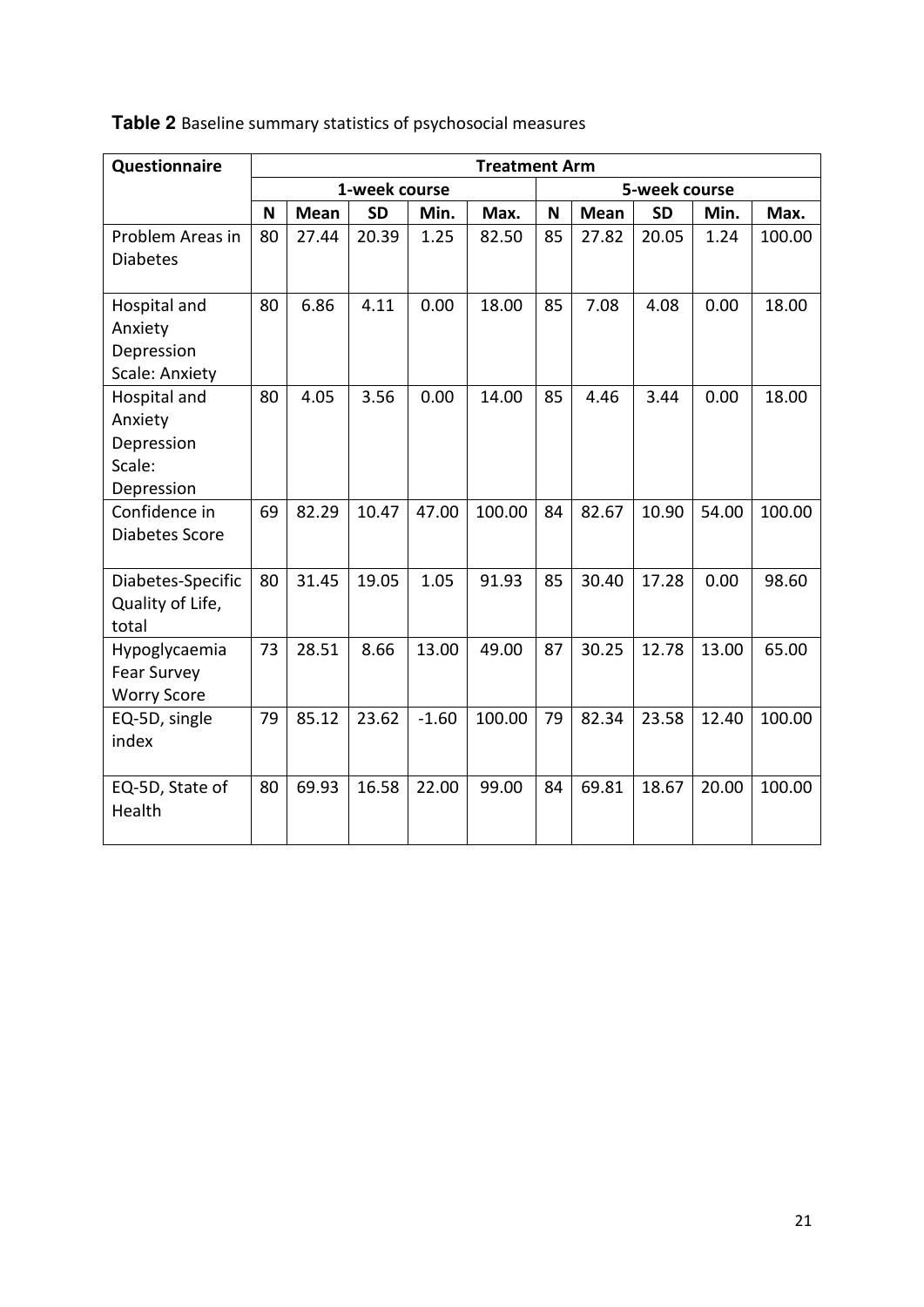| Questionnaire         | <b>Treatment Arm</b> |             |           |         |        |    |               |           |       |        |  |  |
|-----------------------|----------------------|-------------|-----------|---------|--------|----|---------------|-----------|-------|--------|--|--|
|                       | 1-week course        |             |           |         |        |    | 5-week course |           |       |        |  |  |
|                       | N                    | <b>Mean</b> | <b>SD</b> | Min.    | Max.   | N  | <b>Mean</b>   | <b>SD</b> | Min.  | Max.   |  |  |
| Problem Areas in      | 80                   | 27.44       | 20.39     | 1.25    | 82.50  | 85 | 27.82         | 20.05     | 1.24  | 100.00 |  |  |
| <b>Diabetes</b>       |                      |             |           |         |        |    |               |           |       |        |  |  |
| Hospital and          | 80                   | 6.86        | 4.11      | 0.00    | 18.00  | 85 | 7.08          | 4.08      | 0.00  | 18.00  |  |  |
| Anxiety               |                      |             |           |         |        |    |               |           |       |        |  |  |
| Depression            |                      |             |           |         |        |    |               |           |       |        |  |  |
| <b>Scale: Anxiety</b> |                      |             |           |         |        |    |               |           |       |        |  |  |
| Hospital and          | 80                   | 4.05        | 3.56      | 0.00    | 14.00  | 85 | 4.46          | 3.44      | 0.00  | 18.00  |  |  |
| Anxiety               |                      |             |           |         |        |    |               |           |       |        |  |  |
| Depression            |                      |             |           |         |        |    |               |           |       |        |  |  |
| Scale:                |                      |             |           |         |        |    |               |           |       |        |  |  |
| Depression            |                      |             |           |         |        |    |               |           |       |        |  |  |
| Confidence in         | 69                   | 82.29       | 10.47     | 47.00   | 100.00 | 84 | 82.67         | 10.90     | 54.00 | 100.00 |  |  |
| Diabetes Score        |                      |             |           |         |        |    |               |           |       |        |  |  |
| Diabetes-Specific     | 80                   | 31.45       | 19.05     | 1.05    | 91.93  | 85 | 30.40         | 17.28     | 0.00  | 98.60  |  |  |
| Quality of Life,      |                      |             |           |         |        |    |               |           |       |        |  |  |
| total                 |                      |             |           |         |        |    |               |           |       |        |  |  |
| Hypoglycaemia         | 73                   | 28.51       | 8.66      | 13.00   | 49.00  | 87 | 30.25         | 12.78     | 13.00 | 65.00  |  |  |
| <b>Fear Survey</b>    |                      |             |           |         |        |    |               |           |       |        |  |  |
| <b>Worry Score</b>    |                      |             |           |         |        |    |               |           |       |        |  |  |
| EQ-5D, single         | 79                   | 85.12       | 23.62     | $-1.60$ | 100.00 | 79 | 82.34         | 23.58     | 12.40 | 100.00 |  |  |
| index                 |                      |             |           |         |        |    |               |           |       |        |  |  |
| EQ-5D, State of       | 80                   | 69.93       | 16.58     | 22.00   | 99.00  | 84 | 69.81         | 18.67     | 20.00 | 100.00 |  |  |
| Health                |                      |             |           |         |        |    |               |           |       |        |  |  |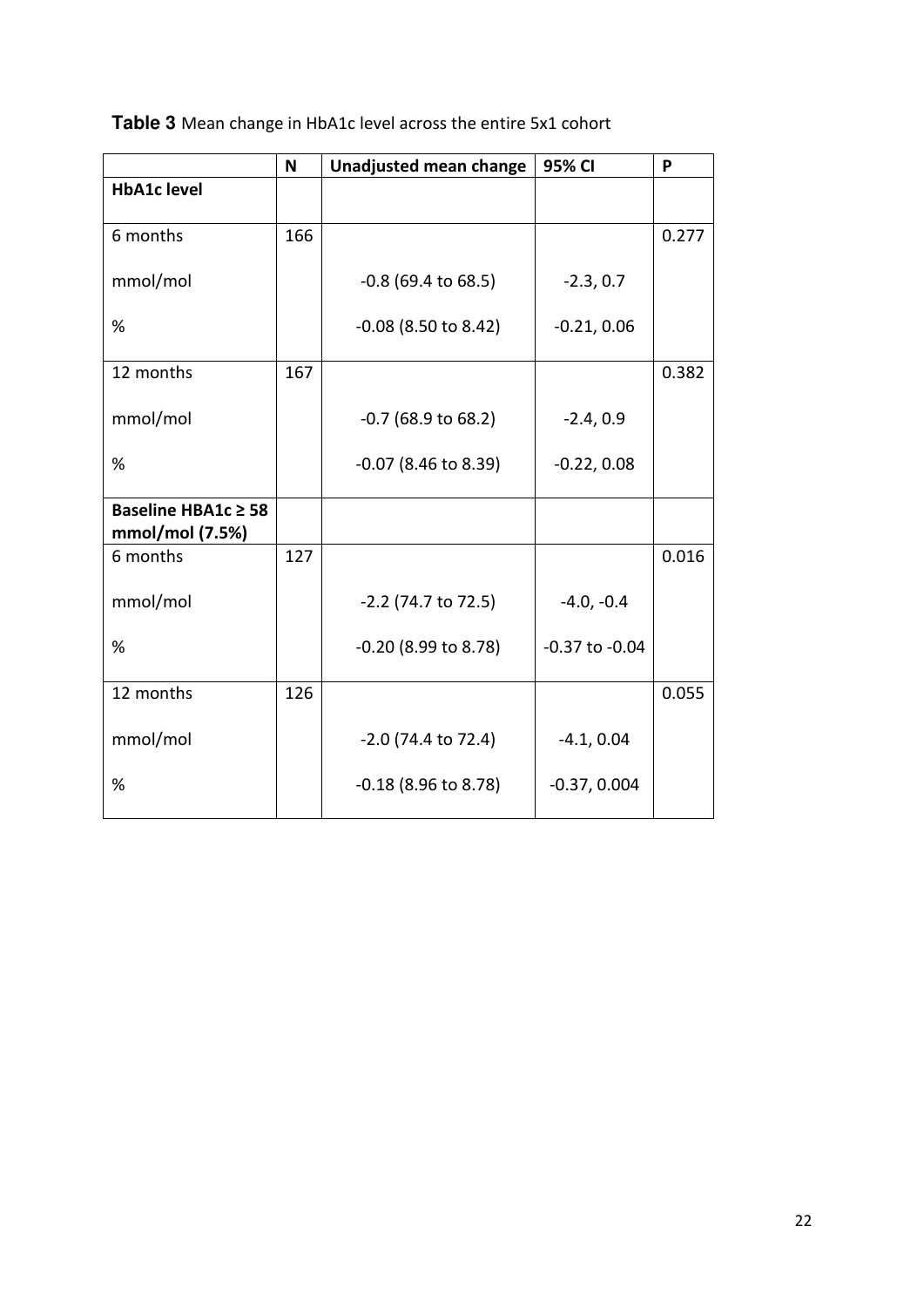|                                        | N   | Unadjusted mean change | 95% CI             | P     |
|----------------------------------------|-----|------------------------|--------------------|-------|
| <b>HbA1c level</b>                     |     |                        |                    |       |
| 6 months                               | 166 |                        |                    | 0.277 |
| mmol/mol                               |     | $-0.8$ (69.4 to 68.5)  | $-2.3, 0.7$        |       |
| %                                      |     | $-0.08$ (8.50 to 8.42) | $-0.21, 0.06$      |       |
| 12 months                              | 167 |                        |                    | 0.382 |
| mmol/mol                               |     | $-0.7$ (68.9 to 68.2)  | $-2.4, 0.9$        |       |
| %                                      |     | $-0.07$ (8.46 to 8.39) | $-0.22, 0.08$      |       |
| Baseline HBA1c ≥ 58<br>mmol/mol (7.5%) |     |                        |                    |       |
| 6 months                               | 127 |                        |                    | 0.016 |
| mmol/mol                               |     | $-2.2$ (74.7 to 72.5)  | $-4.0, -0.4$       |       |
| %                                      |     | $-0.20$ (8.99 to 8.78) | $-0.37$ to $-0.04$ |       |
| 12 months                              | 126 |                        |                    | 0.055 |
| mmol/mol                               |     | $-2.0$ (74.4 to 72.4)  | $-4.1, 0.04$       |       |
| %                                      |     | $-0.18$ (8.96 to 8.78) | $-0.37, 0.004$     |       |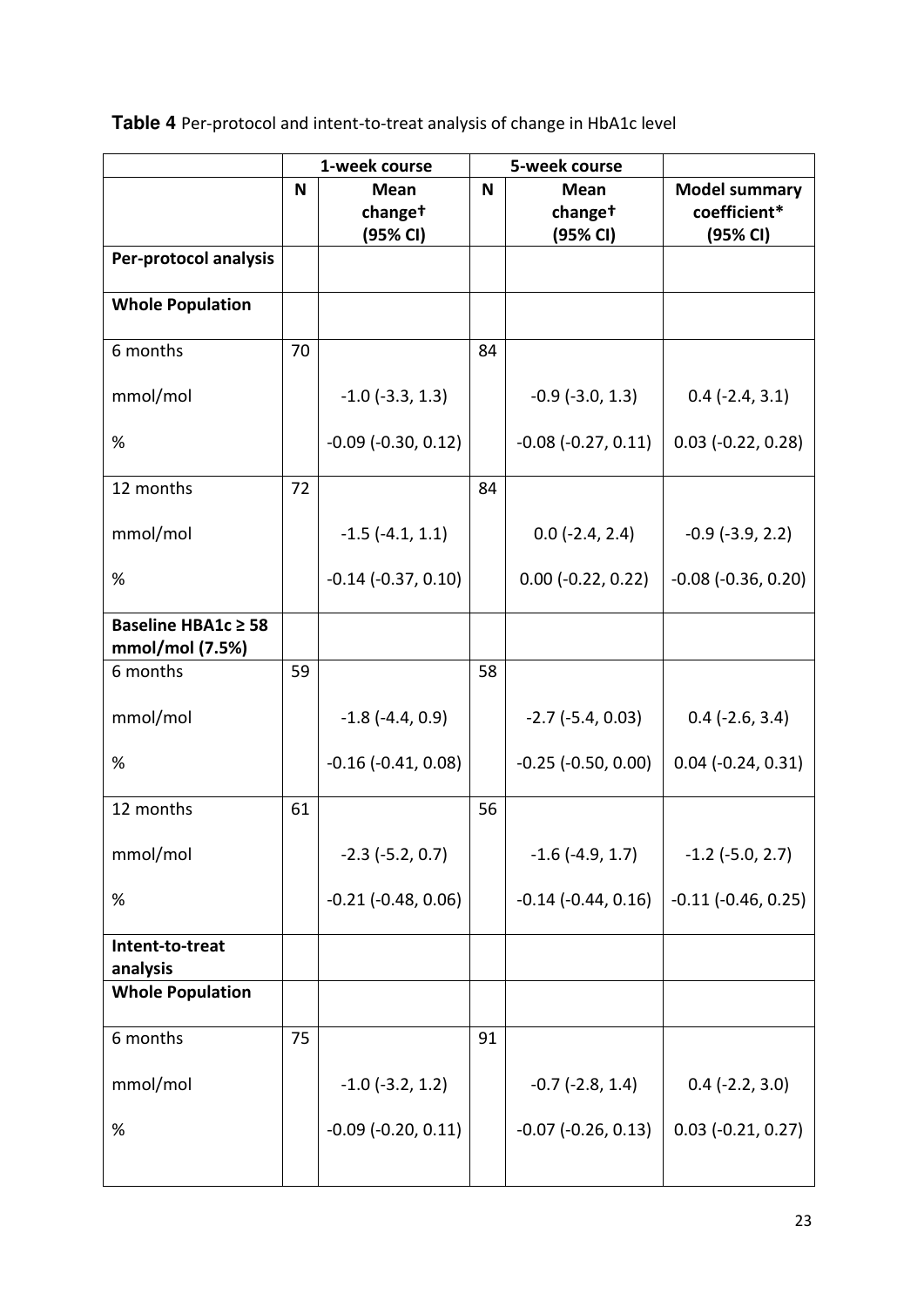**Table 4** Per-protocol and intent-to-treat analysis of change in HbA1c level

|                                        | 1-week course |                         |    | 5-week course           |                             |
|----------------------------------------|---------------|-------------------------|----|-------------------------|-----------------------------|
|                                        | N             | <b>Mean</b>             | N  | <b>Mean</b>             | <b>Model summary</b>        |
|                                        |               | changet<br>(95% CI)     |    | changet<br>(95% CI)     | coefficient*<br>(95% CI)    |
| Per-protocol analysis                  |               |                         |    |                         |                             |
|                                        |               |                         |    |                         |                             |
| <b>Whole Population</b>                |               |                         |    |                         |                             |
| 6 months                               | 70            |                         | 84 |                         |                             |
| mmol/mol                               |               | $-1.0$ ( $-3.3$ , 1.3)  |    | $-0.9$ ( $-3.0$ , 1.3)  | $0.4$ ( $-2.4$ , $3.1$ )    |
| %                                      |               | $-0.09$ $(-0.30, 0.12)$ |    | $-0.08$ $(-0.27, 0.11)$ | $0.03$ (-0.22, 0.28)        |
| 12 months                              | 72            |                         | 84 |                         |                             |
| mmol/mol                               |               | $-1.5$ ( $-4.1, 1.1$ )  |    | $0.0$ (-2.4, 2.4)       | $-0.9$ ( $-3.9$ , 2.2)      |
| %                                      |               | $-0.14$ $(-0.37, 0.10)$ |    | $0.00$ (-0.22, 0.22)    | $-0.08$ $(-0.36, 0.20)$     |
| Baseline HBA1c ≥ 58<br>mmol/mol (7.5%) |               |                         |    |                         |                             |
| 6 months                               | 59            |                         | 58 |                         |                             |
| mmol/mol                               |               | $-1.8$ ( $-4.4$ , 0.9)  |    | $-2.7$ ( $-5.4$ , 0.03) | $0.4$ ( $-2.6$ , $3.4$ )    |
| %                                      |               | $-0.16$ $(-0.41, 0.08)$ |    | $-0.25$ $(-0.50, 0.00)$ | $0.04$ ( $-0.24$ , $0.31$ ) |
| 12 months                              | 61            |                         | 56 |                         |                             |
| mmol/mol                               |               | $-2.3$ ( $-5.2$ , 0.7)  |    | $-1.6$ ( $-4.9$ , 1.7)  | $-1.2$ ( $-5.0$ , 2.7)      |
| $\%$                                   |               | $-0.21$ $(-0.48, 0.06)$ |    | $-0.14$ $(-0.44, 0.16)$ | $-0.11$ $(-0.46, 0.25)$     |
| Intent-to-treat<br>analysis            |               |                         |    |                         |                             |
| <b>Whole Population</b>                |               |                         |    |                         |                             |
| 6 months                               | 75            |                         | 91 |                         |                             |
| mmol/mol                               |               | $-1.0$ ( $-3.2$ , 1.2)  |    | $-0.7$ ( $-2.8$ , 1.4)  | $0.4$ (-2.2, 3.0)           |
| $\%$                                   |               | $-0.09$ $(-0.20, 0.11)$ |    | $-0.07$ $(-0.26, 0.13)$ | $0.03$ (-0.21, 0.27)        |
|                                        |               |                         |    |                         |                             |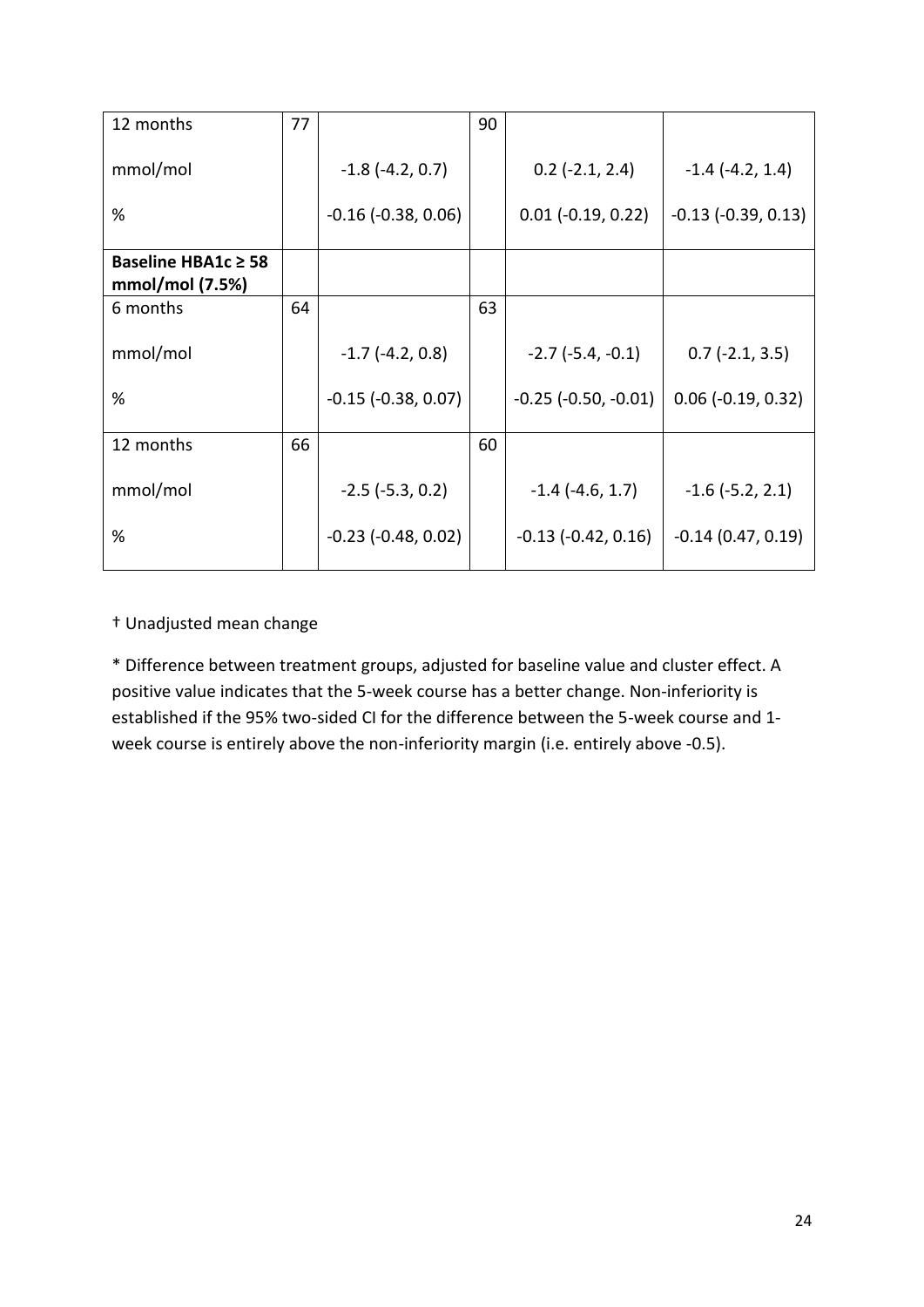| 12 months           | 77 |                              | 90 |                               |                             |
|---------------------|----|------------------------------|----|-------------------------------|-----------------------------|
| mmol/mol            |    | $-1.8$ ( $-4.2$ , 0.7)       |    | $0.2$ (-2.1, 2.4)             | $-1.4$ $(-4.2, 1.4)$        |
| %                   |    | $-0.16$ ( $-0.38$ , $0.06$ ) |    | $0.01 (-0.19, 0.22)$          | $-0.13$ $(-0.39, 0.13)$     |
| Baseline HBA1c ≥ 58 |    |                              |    |                               |                             |
| mmol/mol (7.5%)     |    |                              |    |                               |                             |
| 6 months            | 64 |                              | 63 |                               |                             |
| mmol/mol            |    | $-1.7$ ( $-4.2$ , 0.8)       |    | $-2.7$ ( $-5.4$ , $-0.1$ )    | $0.7$ (-2.1, 3.5)           |
| %                   |    | $-0.15$ $(-0.38, 0.07)$      |    | $-0.25$ ( $-0.50$ , $-0.01$ ) | $0.06$ ( $-0.19$ , $0.32$ ) |
|                     |    |                              |    |                               |                             |
| 12 months           | 66 |                              | 60 |                               |                             |
| mmol/mol            |    | $-2.5$ ( $-5.3$ , 0.2)       |    | $-1.4$ ( $-4.6$ , 1.7)        | $-1.6$ ( $-5.2$ , 2.1)      |
| %                   |    | $-0.23$ ( $-0.48$ , $0.02$ ) |    | $-0.13$ $(-0.42, 0.16)$       | $-0.14(0.47, 0.19)$         |
|                     |    |                              |    |                               |                             |

### + Unadjusted mean change

\* Difference between treatment groups, adjusted for baseline value and cluster effect. A positive value indicates that the 5-week course has a better change. Non-inferiority is established if the 95% two-sided CI for the difference between the 5-week course and 1 week course is entirely above the non-inferiority margin (i.e. entirely above -0.5).